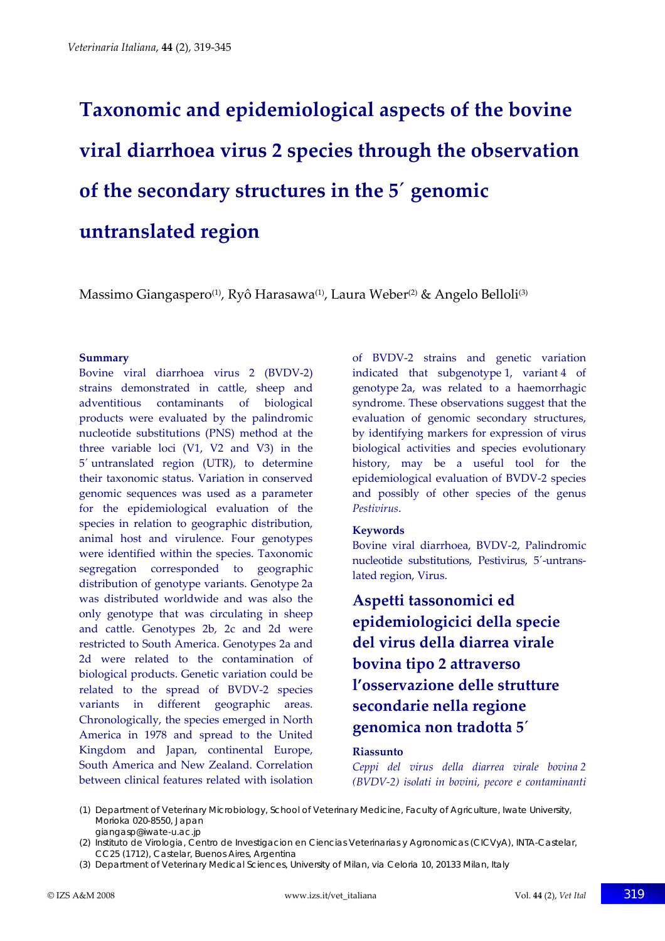# **Taxonomic and epidemiological aspects of the bovine viral diarrhoea virus 2 species through the observation of the secondary structures in the 5´ genomic untranslated region**

Massimo Giangaspero<sup>(1)</sup>, Ryô Harasawa<sup>(1)</sup>, Laura Weber<sup>(2)</sup> & Angelo Belloli<sup>(3)</sup>

#### **Summary**

Bovine viral diarrhoea virus 2 (BVDV‐2) strains demonstrated in cattle, sheep and adventitious contaminants of biological products were evaluated by the palindromic nucleotide substitutions (PNS) method at the three variable loci (V1, V2 and V3) in the 5´ untranslated region (UTR), to determine their taxonomic status. Variation in conserved genomic sequences was used as a parameter for the epidemiological evaluation of the species in relation to geographic distribution, animal host and virulence. Four genotypes were identified within the species. Taxonomic segregation corresponded to geographic distribution of genotype variants. Genotype 2a was distributed worldwide and was also the only genotype that was circulating in sheep and cattle. Genotypes 2b, 2c and 2d were restricted to South America. Genotypes 2a and 2d were related to the contamination of biological products. Genetic variation could be related to the spread of BVDV‐2 species variants in different geographic areas. Chronologically, the species emerged in North America in 1978 and spread to the United Kingdom and Japan, continental Europe, South America and New Zealand. Correlation between clinical features related with isolation

of BVDV‐2 strains and genetic variation indicated that subgenotype 1, variant 4 of genotype 2a, was related to a haemorrhagic syndrome. These observations suggest that the evaluation of genomic secondary structures, by identifying markers for expression of virus biological activities and species evolutionary history, may be a useful tool for the epidemiological evaluation of BVDV‐2 species and possibly of other species of the genus *Pestivirus*.

#### **Keywords**

Bovine viral diarrhoea, BVDV‐2, Palindromic nucleotide substitutions, Pestivirus, 5´‐untrans‐ lated region, Virus.

# **Aspetti tassonomici ed epidemiologicici della specie del virus della diarrea virale bovina tipo 2 attraverso l'osservazione delle strutture secondarie nella regione genomica non tradotta 5´**

#### **Riassunto**

*Ceppi del virus della diarrea virale bovina 2 (BVDV‐2) isolati in bovini, pecore e contaminanti*

(1) Department of Veterinary Microbiology, School of Veterinary Medicine, Faculty of Agriculture, Iwate University, Morioka 020-8550, Japan giangasp@iwate-u.ac.jp

<sup>(2)</sup> Instituto de Virologia, Centro de Investigacion en Ciencias Veterinarias y Agronomicas (CICVyA), INTA-Castelar, CC25 (1712), Castelar, Buenos Aires, Argentina

<sup>(3)</sup> Department of Veterinary Medical Sciences, University of Milan, via Celoria 10, 20133 Milan, Italy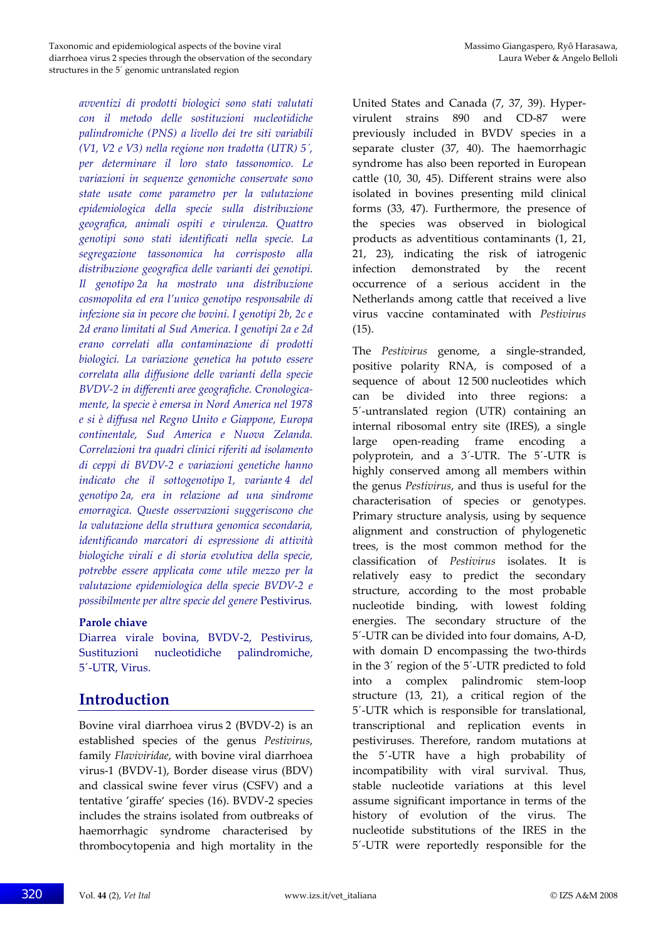*avventizi di prodotti biologici sono stati valutati con il metodo delle sostituzioni nucleotidiche palindromiche (PNS) a livello dei tre siti variabili (V1, V2 e V3) nella regione non tradotta (UTR) 5´, per determinare il loro stato tassonomico. Le variazioni in sequenze genomiche conservate sono state usate come parametro per la valutazione epidemiologica della specie sulla distribuzione geografica, animali ospiti e virulenza. Quattro genotipi sono stati identificati nella specie. La segregazione tassonomica ha corrisposto alla distribuzione geografica delle varianti dei genotipi. Il genotipo 2a ha mostrato una distribuzione cosmopolita ed era l'unico genotipo responsabile di infezione sia in pecore che bovini. I genotipi 2b, 2c e 2d erano limitati al Sud America. I genotipi 2a e 2d erano correlati alla contaminazione di prodotti biologici. La variazione genetica ha potuto essere correlata alla diffusione delle varianti della specie BVDV‐2 in differenti aree geografiche. Cronologica‐ mente, la specie è emersa in Nord America nel 1978 e si è diffusa nel Regno Unito e Giappone, Europa continentale, Sud America e Nuova Zelanda. Correlazioni tra quadri clinici riferiti ad isolamento di ceppi di BVDV‐2 e variazioni genetiche hanno indicato che il sottogenotipo 1, variante 4 del genotipo 2a, era in relazione ad una sindrome emorragica. Queste osservazioni suggeriscono che la valutazione della struttura genomica secondaria, identificando marcatori di espressione di attività biologiche virali e di storia evolutiva della specie, potrebbe essere applicata come utile mezzo per la valutazione epidemiologica della specie BVDV‐2 e possibilmente per altre specie del genere* Pestivirus*.*

#### **Parole chiave**

Diarrea virale bovina, BVDV‐2, Pestivirus, Sustituzioni nucleotidiche palindromiche, 5´‐UTR, Virus.

## **Introduction**

Bovine viral diarrhoea virus 2 (BVDV‐2) is an established species of the genus *Pestivirus*, family *Flaviviridae*, with bovine viral diarrhoea virus‐1 (BVDV‐1), Border disease virus (BDV) and classical swine fever virus (CSFV) and a tentative 'giraffe' species (16). BVDV‐2 species includes the strains isolated from outbreaks of haemorrhagic syndrome characterised by thrombocytopenia and high mortality in the

United States and Canada (7, 37, 39). Hyper‐ virulent strains 890 and CD‐87 were previously included in BVDV species in a separate cluster (37, 40). The haemorrhagic syndrome has also been reported in European cattle (10, 30, 45). Different strains were also isolated in bovines presenting mild clinical forms (33, 47). Furthermore, the presence of the species was observed in biological products as adventitious contaminants (1, 21, 21, 23), indicating the risk of iatrogenic infection demonstrated by the recent occurrence of a serious accident in the Netherlands among cattle that received a live virus vaccine contaminated with *Pestivirus* (15).

The *Pestivirus* genome, a single‐stranded, positive polarity RNA, is composed of a sequence of about 12 500 nucleotides which can be divided into three regions: a 5´‐untranslated region (UTR) containing an internal ribosomal entry site (IRES), a single large open‐reading frame encoding a polyprotein, and a 3´‐UTR. The 5´‐UTR is highly conserved among all members within the genus *Pestivirus*, and thus is useful for the characterisation of species or genotypes. Primary structure analysis, using by sequence alignment and construction of phylogenetic trees, is the most common method for the classification of *Pestivirus* isolates. It is relatively easy to predict the secondary structure, according to the most probable nucleotide binding, with lowest folding energies. The secondary structure of the 5´‐UTR can be divided into four domains, A‐D, with domain D encompassing the two-thirds in the 3´ region of the 5´‐UTR predicted to fold into a complex palindromic stem‐loop structure (13, 21), a critical region of the 5´‐UTR which is responsible for translational, transcriptional and replication events in pestiviruses. Therefore, random mutations at the 5´‐UTR have a high probability of incompatibility with viral survival. Thus, stable nucleotide variations at this level assume significant importance in terms of the history of evolution of the virus. The nucleotide substitutions of the IRES in the 5´‐UTR were reportedly responsible for the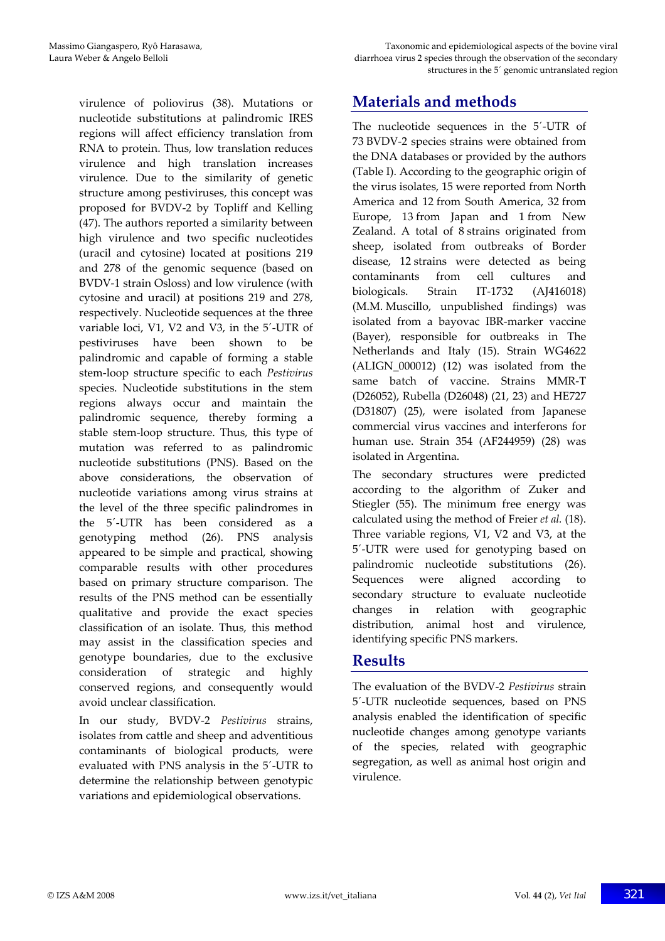virulence of poliovirus (38). Mutations or nucleotide substitutions at palindromic IRES regions will affect efficiency translation from RNA to protein. Thus, low translation reduces virulence and high translation increases virulence. Due to the similarity of genetic structure among pestiviruses, this concept was proposed for BVDV‐2 by Topliff and Kelling (47). The authors reported a similarity between high virulence and two specific nucleotides (uracil and cytosine) located at positions 219 and 278 of the genomic sequence (based on BVDV‐1 strain Osloss) and low virulence (with cytosine and uracil) at positions 219 and 278, respectively. Nucleotide sequences at the three variable loci, V1, V2 and V3, in the 5´‐UTR of pestiviruses have been shown to be palindromic and capable of forming a stable stem‐loop structure specific to each *Pestivirus* species. Nucleotide substitutions in the stem regions always occur and maintain the palindromic sequence, thereby forming a stable stem‐loop structure. Thus, this type of mutation was referred to as palindromic nucleotide substitutions (PNS). Based on the above considerations, the observation of nucleotide variations among virus strains at the level of the three specific palindromes in the 5´‐UTR has been considered as a genotyping method (26). PNS analysis appeared to be simple and practical, showing comparable results with other procedures based on primary structure comparison. The results of the PNS method can be essentially qualitative and provide the exact species classification of an isolate. Thus, this method may assist in the classification species and genotype boundaries, due to the exclusive consideration of strategic and highly conserved regions, and consequently would avoid unclear classification.

In our study, BVDV‐2 *Pestivirus* strains, isolates from cattle and sheep and adventitious contaminants of biological products, were evaluated with PNS analysis in the 5´‐UTR to determine the relationship between genotypic variations and epidemiological observations.

# **Materials and methods**

The nucleotide sequences in the 5´‐UTR of 73 BVDV‐2 species strains were obtained from the DNA databases or provided by the authors (Table I). According to the geographic origin of the virus isolates, 15 were reported from North America and 12 from South America, 32 from Europe, 13 from Japan and 1 from New Zealand. A total of 8 strains originated from sheep, isolated from outbreaks of Border disease, 12 strains were detected as being contaminants from cell cultures and biologicals. Strain IT‐1732 (AJ416018) (M.M. Muscillo, unpublished findings) was isolated from a bayovac IBR‐marker vaccine (Bayer), responsible for outbreaks in The Netherlands and Italy (15). Strain WG4622  $(ALIGN 000012)$   $(12)$  was isolated from the same batch of vaccine. Strains MMR-T (D26052), Rubella (D26048) (21, 23) and HE727 (D31807) (25), were isolated from Japanese commercial virus vaccines and interferons for human use. Strain 354 (AF244959) (28) was isolated in Argentina.

The secondary structures were predicted according to the algorithm of Zuker and Stiegler (55). The minimum free energy was calculated using the method of Freier *et al.* (18). Three variable regions, V1, V2 and V3, at the 5´‐UTR were used for genotyping based on palindromic nucleotide substitutions (26). Sequences were aligned according to secondary structure to evaluate nucleotide changes in relation with geographic distribution, animal host and virulence, identifying specific PNS markers.

## **Results**

The evaluation of the BVDV‐2 *Pestivirus* strain 5´‐UTR nucleotide sequences, based on PNS analysis enabled the identification of specific nucleotide changes among genotype variants of the species, related with geographic segregation, as well as animal host origin and virulence.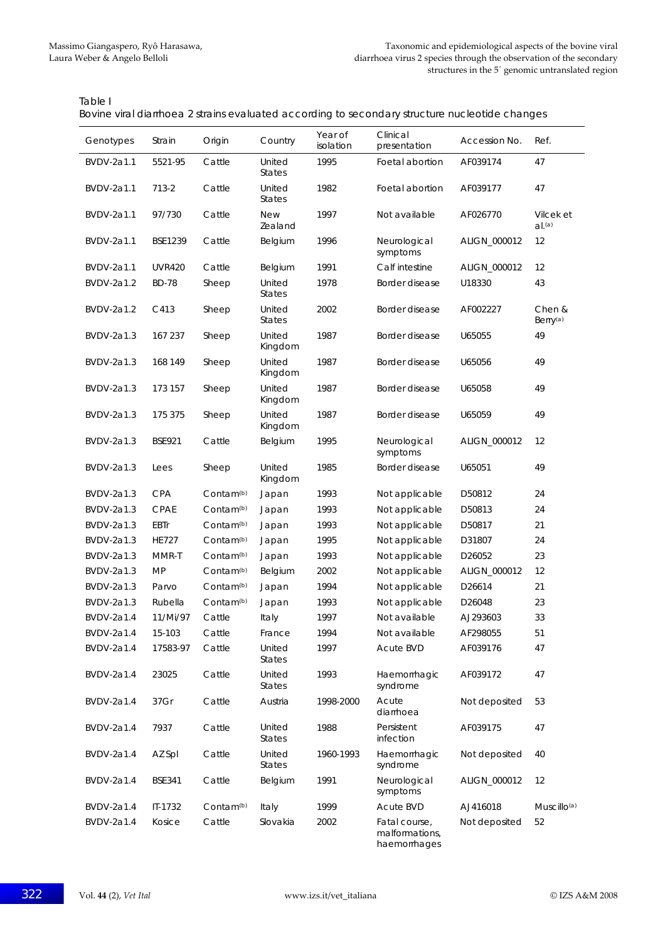| Table I                                                                                        |  |
|------------------------------------------------------------------------------------------------|--|
| Bovine viral diarrhoea 2 strains evaluated according to secondary structure nucleotide changes |  |

| Genotypes         | Strain         | Origin                | Country                 | Year of<br>isolation | Clinical<br>presentation                        | Accession No. | Ref.                           |
|-------------------|----------------|-----------------------|-------------------------|----------------------|-------------------------------------------------|---------------|--------------------------------|
| BVDV-2a1.1        | 5521-95        | Cattle                | United<br><b>States</b> | 1995                 | Foetal abortion                                 | AF039174      | 47                             |
| BVDV-2a1.1        | 713-2          | Cattle                | United<br><b>States</b> | 1982                 | Foetal abortion                                 | AF039177      | 47                             |
| BVDV-2a1.1        | 97/730         | Cattle                | <b>New</b><br>Zealand   | 1997                 | Not available                                   | AF026770      | Vilcek et<br>$d^{(a)}$         |
| BVDV-2a1.1        | <b>BSE1239</b> | Cattle                | Belgium                 | 1996                 | Neurological<br>symptoms                        | ALIGN_000012  | 12                             |
| BVDV-2a1.1        | <b>UVR420</b>  | Cattle                | Belgium                 | 1991                 | Calf intestine                                  | ALIGN_000012  | 12                             |
| BVDV-2a1.2        | <b>BD-78</b>   | Sheep                 | United<br><b>States</b> | 1978                 | Border disease                                  | U18330        | 43                             |
| BVDV-2a1.2        | C413           | Sheep                 | United<br><b>States</b> | 2002                 | Border disease                                  | AF002227      | Chen &<br>Berry <sup>(a)</sup> |
| BVDV-2a1.3        | 167 237        | Sheep                 | United<br>Kingdom       | 1987                 | Border disease                                  | U65055        | 49                             |
| BVDV-2a1.3        | 168 149        | Sheep                 | United<br>Kingdom       | 1987                 | Border disease                                  | U65056        | 49                             |
| BVDV-2a1.3        | 173 157        | Sheep                 | United<br>Kingdom       | 1987                 | Border disease                                  | U65058        | 49                             |
| BVDV-2a1.3        | 175 375        | Sheep                 | United<br>Kingdom       | 1987                 | Border disease                                  | U65059        | 49                             |
| BVDV-2a1.3        | <b>BSE921</b>  | Cattle                | Belgium                 | 1995                 | Neurological<br>symptoms                        | ALIGN_000012  | 12                             |
| BVDV-2a1.3        | Lees           | Sheep                 | United<br>Kingdom       | 1985                 | Border disease                                  | U65051        | 49                             |
| BVDV-2a1.3        | <b>CPA</b>     | Contam <sup>(b)</sup> | Japan                   | 1993                 | Not applicable                                  | D50812        | 24                             |
| BVDV-2a1.3        | CPAE           | Contam <sup>(b)</sup> | Japan                   | 1993                 | Not applicable                                  | D50813        | 24                             |
| BVDV-2a1.3        | <b>EBTr</b>    | Contam <sup>(b)</sup> | Japan                   | 1993                 | Not applicable                                  | D50817        | 21                             |
| BVDV-2a1.3        | <b>HE727</b>   | Contam <sup>(b)</sup> | Japan                   | 1995                 | Not applicable                                  | D31807        | 24                             |
| BVDV-2a1.3        | MMR-T          | Contam <sup>(b)</sup> | Japan                   | 1993                 | Not applicable                                  | D26052        | 23                             |
| <b>BVDV-2a1.3</b> | <b>MP</b>      | Contam <sup>(b)</sup> | Belgium                 | 2002                 | Not applicable                                  | ALIGN_000012  | 12                             |
| BVDV-2a1.3        | Parvo          | Contam <sup>(b)</sup> | Japan                   | 1994                 | Not applicable                                  | D26614        | 21                             |
| BVDV-2a1.3        | Rubella        | Contam <sup>(b)</sup> | Japan                   | 1993                 | Not applicable                                  | D26048        | 23                             |
| <b>BVDV-2a1.4</b> | 11/Mi/97       | Cattle                | Italy                   | 1997                 | Not available                                   | AJ293603      | 33                             |
| <b>BVDV-2a1.4</b> | 15-103         | Cattle                | France                  | 1994                 | Not available                                   | AF298055      | 51                             |
| BVDV-2a1.4        | 17583-97       | Cattle                | United<br><b>States</b> | 1997                 | Acute BVD                                       | AF039176      | 47                             |
| <b>BVDV-2a1.4</b> | 23025          | Cattle                | United<br><b>States</b> | 1993                 | Haemorrhagic<br>syndrome                        | AF039172      | 47                             |
| BVDV-2a1.4        | 37Gr           | Cattle                | Austria                 | 1998-2000            | Acute<br>diarrhoea                              | Not deposited | 53                             |
| <b>BVDV-2a1.4</b> | 7937           | Cattle                | United<br><b>States</b> | 1988                 | Persistent<br>infection                         | AF039175      | 47                             |
| BVDV-2a1.4        | AZ Spl         | Cattle                | United<br><b>States</b> | 1960-1993            | Haemorrhagic<br>syndrome                        | Not deposited | 40                             |
| BVDV-2a1.4        | <b>BSE341</b>  | Cattle                | Belgium                 | 1991                 | Neurological<br>symptoms                        | ALIGN_000012  | 12                             |
| BVDV-2a1.4        | IT-1732        | Contam <sup>(b)</sup> | Italy                   | 1999                 | Acute BVD                                       | AJ416018      | Muscillo <sup>(a)</sup>        |
| BVDV-2a1.4        | Kosice         | Cattle                | Slovakia                | 2002                 | Fatal course,<br>malformations,<br>haemorrhages | Not deposited | 52                             |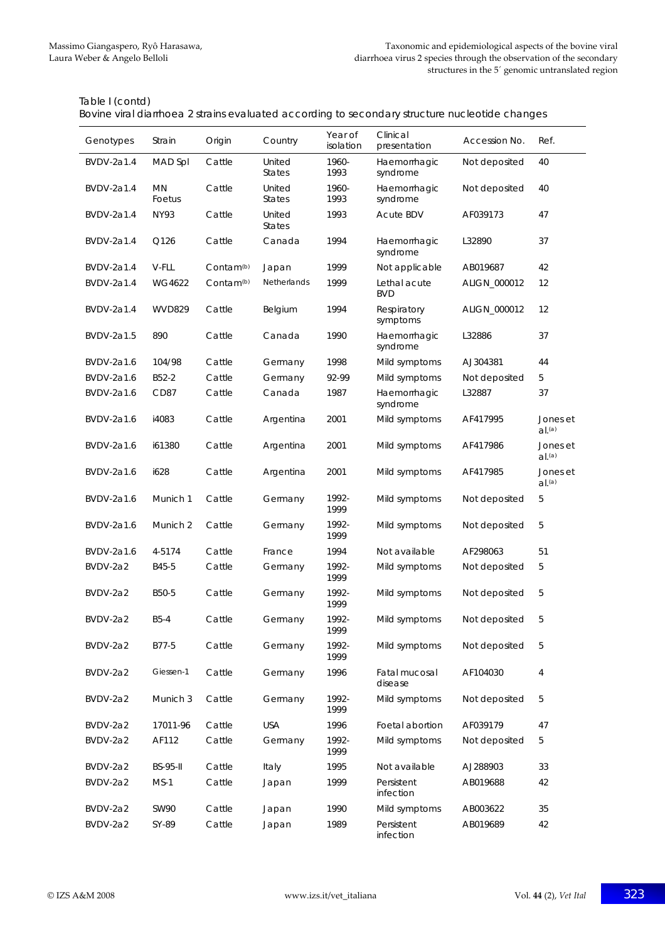|  | Bovine viral diarrhoea 2 strains evaluated according to secondary structure nucleotide changes |
|--|------------------------------------------------------------------------------------------------|
|  |                                                                                                |
|  |                                                                                                |
|  |                                                                                                |

| Genotypes         | Strain              | Origin                | Country                 | Year of<br>isolation | Clinical<br>presentation   | Accession No. | Ref.                  |
|-------------------|---------------------|-----------------------|-------------------------|----------------------|----------------------------|---------------|-----------------------|
| BVDV-2a1.4        | MAD Spl             | Cattle                | United<br><b>States</b> | 1960-<br>1993        | Haemorrhagic<br>syndrome   | Not deposited | 40                    |
| BVDV-2a1.4        | <b>MN</b><br>Foetus | Cattle                | United<br><b>States</b> | 1960-<br>1993        | Haemorrhagic<br>syndrome   | Not deposited | 40                    |
| BVDV-2a1.4        | <b>NY93</b>         | Cattle                | United<br><b>States</b> | 1993                 | <b>Acute BDV</b>           | AF039173      | 47                    |
| BVDV-2a1.4        | Q126                | Cattle                | Canada                  | 1994                 | Haemorrhagic<br>syndrome   | L32890        | 37                    |
| <b>BVDV-2a1.4</b> | V-FLL               | Contam <sup>(b)</sup> | Japan                   | 1999                 | Not applicable             | AB019687      | 42                    |
| <b>BVDV-2a1.4</b> | WG4622              | Contam <sup>(b)</sup> | Netherlands             | 1999                 | Lethal acute<br><b>BVD</b> | ALIGN_000012  | 12                    |
| BVDV-2a1.4        | <b>WVD829</b>       | Cattle                | Belgium                 | 1994                 | Respiratory<br>symptoms    | ALIGN_000012  | 12                    |
| BVDV-2a1.5        | 890                 | Cattle                | Canada                  | 1990                 | Haemorrhagic<br>syndrome   | L32886        | 37                    |
| BVDV-2a1.6        | 104/98              | Cattle                | Germany                 | 1998                 | Mild symptoms              | AJ304381      | 44                    |
| BVDV-2a1.6        | B52-2               | Cattle                | Germany                 | 92-99                | Mild symptoms              | Not deposited | 5                     |
| <b>BVDV-2a1.6</b> | CD87                | Cattle                | Canada                  | 1987                 | Haemorrhagic<br>syndrome   | L32887        | 37                    |
| <b>BVDV-2a1.6</b> | i4083               | Cattle                | Argentina               | 2001                 | Mild symptoms              | AF417995      | Jones et<br>$d^{(a)}$ |
| BVDV-2a1.6        | i61380              | Cattle                | Argentina               | 2001                 | Mild symptoms              | AF417986      | Jones et<br>$d^{(a)}$ |
| BVDV-2a1.6        | i628                | Cattle                | Argentina               | 2001                 | Mild symptoms              | AF417985      | Jones et<br>$d^{(a)}$ |
| BVDV-2a1.6        | Munich 1            | Cattle                | Germany                 | 1992-<br>1999        | Mild symptoms              | Not deposited | 5                     |
| BVDV-2a1.6        | Munich 2            | Cattle                | Germany                 | 1992-<br>1999        | Mild symptoms              | Not deposited | 5                     |
| BVDV-2a1.6        | 4-5174              | Cattle                | France                  | 1994                 | Not available              | AF298063      | 51                    |
| BVDV-2a2          | B45-5               | Cattle                | Germany                 | 1992-<br>1999        | Mild symptoms              | Not deposited | 5                     |
| BVDV-2a2          | B50-5               | Cattle                | Germany                 | 1992-<br>1999        | Mild symptoms              | Not deposited | 5                     |
| BVDV-2a2          | $B5-4$              | Cattle                | Germany                 | 1992-<br>1999        | Mild symptoms              | Not deposited | 5                     |
| BVDV-2a2          | B77-5               | Cattle                | Germany                 | 1992-<br>1999        | Mild symptoms              | Not deposited | 5                     |
| BVDV-2a2          | Giessen-1           | Cattle                | Germany                 | 1996                 | Fatal mucosal<br>disease   | AF104030      | 4                     |
| BVDV-2a2          | Munich 3            | Cattle                | Germany                 | 1992-<br>1999        | Mild symptoms              | Not deposited | 5                     |
| BVDV-2a2          | 17011-96            | Cattle                | <b>USA</b>              | 1996                 | Foetal abortion            | AF039179      | 47                    |
| BVDV-2a2          | AF112               | Cattle                | Germany                 | 1992-<br>1999        | Mild symptoms              | Not deposited | 5                     |
| BVDV-2a2          | <b>BS-95-II</b>     | Cattle                | Italy                   | 1995                 | Not available              | AJ288903      | 33                    |
| BVDV-2a2          | $MS-1$              | Cattle                | Japan                   | 1999                 | Persistent<br>infection    | AB019688      | 42                    |
| BVDV-2a2          | <b>SW90</b>         | Cattle                | Japan                   | 1990                 | Mild symptoms              | AB003622      | 35                    |
| BVDV-2a2          | SY-89               | Cattle                | Japan                   | 1989                 | Persistent<br>infection    | AB019689      | 42                    |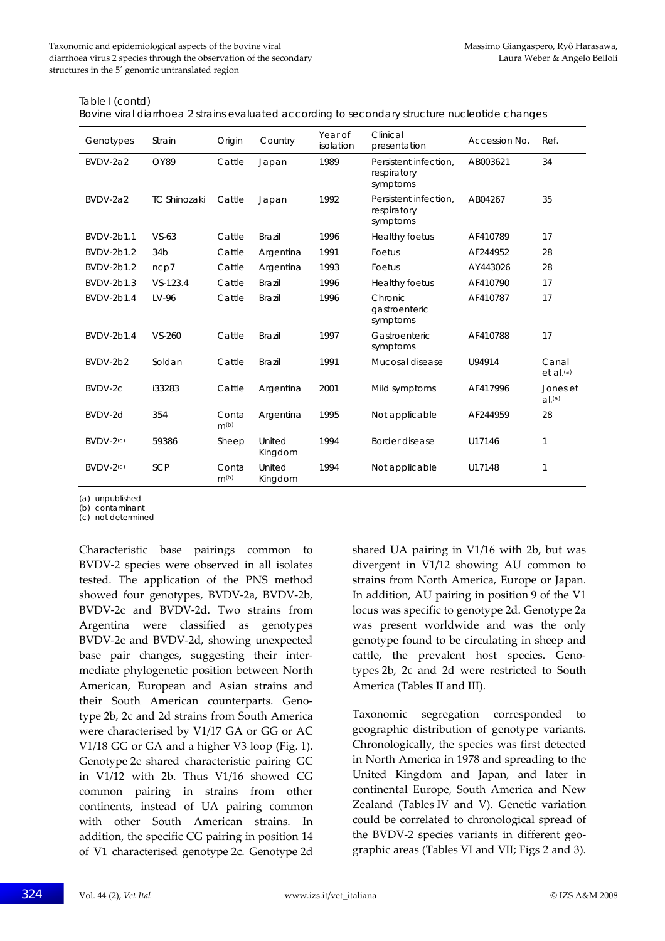| Genotypes   | Strain              | Origin                    | Country           | Year of<br>isolation | Clinical<br>presentation                         | Accession No. | Ref.                             |
|-------------|---------------------|---------------------------|-------------------|----------------------|--------------------------------------------------|---------------|----------------------------------|
| BVDV-2a2    | <b>OY89</b>         | Cattle                    | Japan             | 1989                 | Persistent infection.<br>respiratory<br>symptoms | AB003621      | 34                               |
| BVDV-2a2    | <b>TC Shinozaki</b> | Cattle                    | Japan             | 1992                 | Persistent infection,<br>respiratory<br>symptoms | AB04267       | 35                               |
| BVDV-2b1.1  | $VS-63$             | Cattle                    | <b>Brazil</b>     | 1996                 | Healthy foetus                                   | AF410789      | 17                               |
| BVDV-2b1.2  | 34 <sub>b</sub>     | Cattle                    | Argentina         | 1991                 | Foetus                                           | AF244952      | 28                               |
| BVDV-2b1.2  | ncp7                | Cattle                    | Argentina         | 1993                 | Foetus                                           | AY443026      | 28                               |
| BVDV-2b1.3  | $VS - 123.4$        | Cattle                    | <b>Brazil</b>     | 1996                 | Healthy foetus                                   | AF410790      | 17                               |
| BVDV-2b1.4  | LV-96               | Cattle                    | Brazil            | 1996                 | Chronic<br>gastroenteric<br>symptoms             | AF410787      | 17                               |
| BVDV-2b1.4  | $VS - 260$          | Cattle                    | <b>Brazil</b>     | 1997                 | Gastroenteric<br>symptoms                        | AF410788      | 17                               |
| BVDV-2b2    | Soldan              | Cattle                    | <b>Brazil</b>     | 1991                 | Mucosal disease                                  | U94914        | Canal<br>$et$ al. <sup>(a)</sup> |
| BVDV-2c     | i33283              | Cattle                    | Argentina         | 2001                 | Mild symptoms                                    | AF417996      | Jones et<br>$d^{(a)}$            |
| BVDV-2d     | 354                 | Conta<br>m <sub>(b)</sub> | Argentina         | 1995                 | Not applicable                                   | AF244959      | 28                               |
| $BVDV-2(c)$ | 59386               | Sheep                     | United<br>Kingdom | 1994                 | Border disease                                   | U17146        | 1                                |
| BVDV-2(c)   | <b>SCP</b>          | Conta<br>m <sub>(b)</sub> | United<br>Kingdom | 1994                 | Not applicable                                   | U17148        | 1                                |

Table I (contd)

Bovine viral diarrhoea 2 strains evaluated according to secondary structure nucleotide changes

(a) unpublished

(b) contaminant

(c) not determined

Characteristic base pairings common to BVDV‐2 species were observed in all isolates tested. The application of the PNS method showed four genotypes, BVDV‐2a, BVDV‐2b, BVDV‐2c and BVDV‐2d. Two strains from Argentina were classified as genotypes BVDV‐2c and BVDV‐2d, showing unexpected base pair changes, suggesting their inter‐ mediate phylogenetic position between North American, European and Asian strains and their South American counterparts. Geno‐ type 2b, 2c and 2d strains from South America were characterised by V1/17 GA or GG or AC V1/18 GG or GA and a higher V3 loop (Fig. 1). Genotype 2c shared characteristic pairing GC in V1/12 with 2b. Thus V1/16 showed CG common pairing in strains from other continents, instead of UA pairing common with other South American strains. In addition, the specific CG pairing in position 14 of V1 characterised genotype 2c. Genotype 2d

shared UA pairing in V1/16 with 2b, but was divergent in V1/12 showing AU common to strains from North America, Europe or Japan. In addition, AU pairing in position 9 of the V1 locus was specific to genotype 2d. Genotype 2a was present worldwide and was the only genotype found to be circulating in sheep and cattle, the prevalent host species. Genotypes 2b, 2c and 2d were restricted to South America (Tables II and III).

Taxonomic segregation corresponded to geographic distribution of genotype variants. Chronologically, the species was first detected in North America in 1978 and spreading to the United Kingdom and Japan, and later in continental Europe, South America and New Zealand (Tables IV and V). Genetic variation could be correlated to chronological spread of the BVDV‐2 species variants in different geo‐ graphic areas (Tables VI and VII; Figs 2 and 3).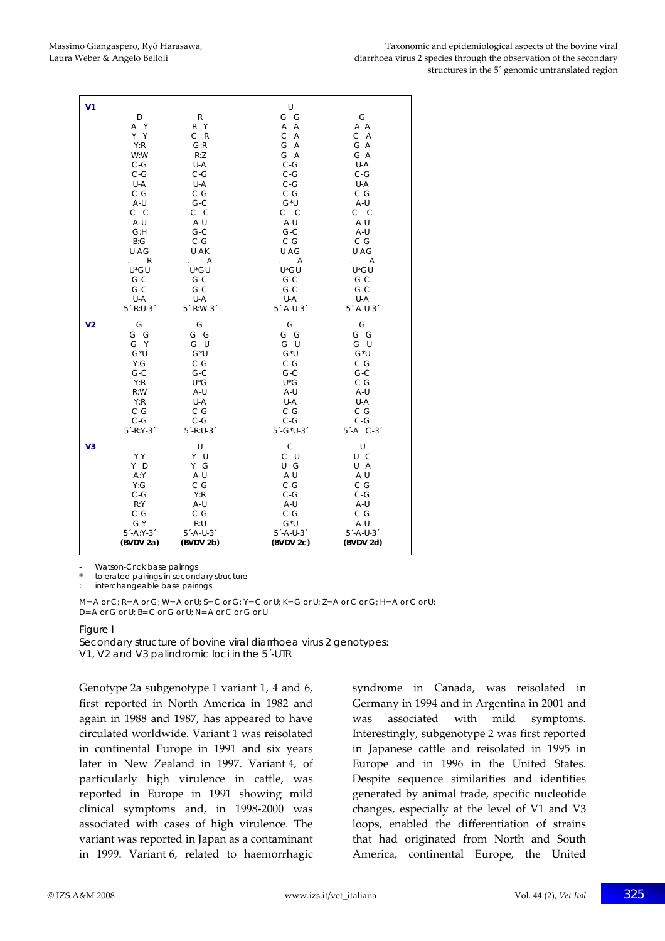| V <sub>1</sub> | D<br>A Y<br>Y Y<br>Y:R<br>W:W<br>$C-G$<br>$C-G$<br>U-A                                 | R<br>R Y<br>C R<br>G:R<br>R:Z<br>U-A<br>$C-G$<br>U-A                                          | U<br>G G<br>A A<br>C A<br>G A<br>G A<br>$C-G$<br>$C-G$<br>$C-G$                                              | G<br>A A<br>C A<br>G A<br>G A<br>U-A<br>$C-G$<br>U-A                                           |
|----------------|----------------------------------------------------------------------------------------|-----------------------------------------------------------------------------------------------|--------------------------------------------------------------------------------------------------------------|------------------------------------------------------------------------------------------------|
|                | $C-G$                                                                                  | $C-G$                                                                                         | $C-G$                                                                                                        | $C-G$                                                                                          |
|                | A-U                                                                                    | $G-C$                                                                                         | $G^*U$                                                                                                       | A-U                                                                                            |
|                | C C                                                                                    | c c                                                                                           | $C$ $C$                                                                                                      | $C$ $C$                                                                                        |
|                | A-U                                                                                    | A-U                                                                                           | A-U                                                                                                          | A-U                                                                                            |
|                | G: H                                                                                   | $G-C$                                                                                         | $G-C$                                                                                                        | A-U                                                                                            |
|                | B:G                                                                                    | $C-G$                                                                                         | $C-G$                                                                                                        | $C-G$                                                                                          |
|                | U-AG                                                                                   | U-AK                                                                                          | U-AG                                                                                                         | U-AG                                                                                           |
|                | $\mathsf{R}$                                                                           | $\overline{A}$                                                                                | A                                                                                                            | Α                                                                                              |
|                | U*GU                                                                                   | U*GU                                                                                          | U*GU                                                                                                         | U*GU                                                                                           |
|                | $G-C$                                                                                  | $G-C$                                                                                         | $G-C$                                                                                                        | $G-C$                                                                                          |
|                | $G-C$                                                                                  | $G-C$                                                                                         | $G-C$                                                                                                        | $G-C$                                                                                          |
|                | U-A                                                                                    | U-A                                                                                           | U-A                                                                                                          | U-A                                                                                            |
| V <sub>2</sub> | $5 - R:U - 3$                                                                          | $5 - R: W - 3$                                                                                | $5 - A - U - 3$                                                                                              | $5'$ -A-U-3 $'$                                                                                |
|                | G                                                                                      | G                                                                                             | G                                                                                                            | G                                                                                              |
|                | G G                                                                                    | G G                                                                                           | G G                                                                                                          | G G                                                                                            |
|                | G Y                                                                                    | G U                                                                                           | G U                                                                                                          | G U                                                                                            |
|                | $G^*U$                                                                                 | $G^*U$                                                                                        | $G^*U$                                                                                                       | $G^*U$                                                                                         |
|                | Y:G                                                                                    | $C-G$                                                                                         | $C-G$                                                                                                        | $C-G$                                                                                          |
|                | $G-C$                                                                                  | $G-C$                                                                                         | $G-C$                                                                                                        | $G-C$                                                                                          |
|                | Y:R                                                                                    | U*G                                                                                           | $U^*G$                                                                                                       | $C-G$                                                                                          |
|                | R:W                                                                                    | A-U                                                                                           | A-U                                                                                                          | A-U                                                                                            |
|                | Y:R                                                                                    | U-A                                                                                           | U-A                                                                                                          | U-A                                                                                            |
|                | $C-G$                                                                                  | $C-G$                                                                                         | $C-G$                                                                                                        | $C-G$                                                                                          |
|                | $C-G$                                                                                  | $C-G$                                                                                         | $C-G$                                                                                                        | $C-G$                                                                                          |
|                | $5 - R:Y - 3$                                                                          | $5 - R:U - 3$                                                                                 | $5 - G^*U - 3$                                                                                               | $5^{\prime}$ -A C-3 $^{\prime}$                                                                |
| V <sub>3</sub> | Y Y<br>Y D<br>A:Y<br>Y:G<br>$C-G$<br>R:Y<br>$C-G$<br>G:Y<br>$5 - A:Y - 3$<br>(BVDV 2a) | U<br>Y U<br>Y G<br>A-U<br>$C-G$<br>Y:R<br>A-U<br>$C-G$<br>R:U<br>$5'$ -A-U-3 $'$<br>(BVDV 2b) | $\mathsf{C}$<br>C U<br>U G<br>A-U<br>$C-G$<br>$C-G$<br>A-U<br>$C-G$<br>$G^*U$<br>$5'$ -A-U-3 $'$<br>(BVDV2c) | U<br>U C<br>U A<br>A-U<br>$C-G$<br>$C-G$<br>A-U<br>$C-G$<br>A-U<br>$5 - A - U - 3$<br>(BVDV2d) |

Watson-Crick base pairings

tolerated pairings in secondary structure

: interchangeable base pairings

 $M= A$  or C; R= A or G; W= A or U; S= C or G; Y= C or U; K= G or U; Z= A or C or G; H= A or C or U; D= A or G or U; B= C or G or U; N= A or C or G or U

#### Figure I

Secondary structure of bovine viral diarrhoea virus 2 genotypes: V1, V2 and V3 palindromic loci in the 5´-UTR

Genotype 2a subgenotype 1 variant 1, 4 and 6, first reported in North America in 1982 and again in 1988 and 1987, has appeared to have circulated worldwide. Variant 1 was reisolated in continental Europe in 1991 and six years later in New Zealand in 1997. Variant 4, of particularly high virulence in cattle, was reported in Europe in 1991 showing mild clinical symptoms and, in 1998‐2000 was associated with cases of high virulence. The variant was reported in Japan as a contaminant in 1999. Variant 6, related to haemorrhagic syndrome in Canada, was reisolated in Germany in 1994 and in Argentina in 2001 and was associated with mild symptoms. Interestingly, subgenotype 2 was first reported in Japanese cattle and reisolated in 1995 in Europe and in 1996 in the United States. Despite sequence similarities and identities generated by animal trade, specific nucleotide changes, especially at the level of V1 and V3 loops, enabled the differentiation of strains that had originated from North and South America, continental Europe, the United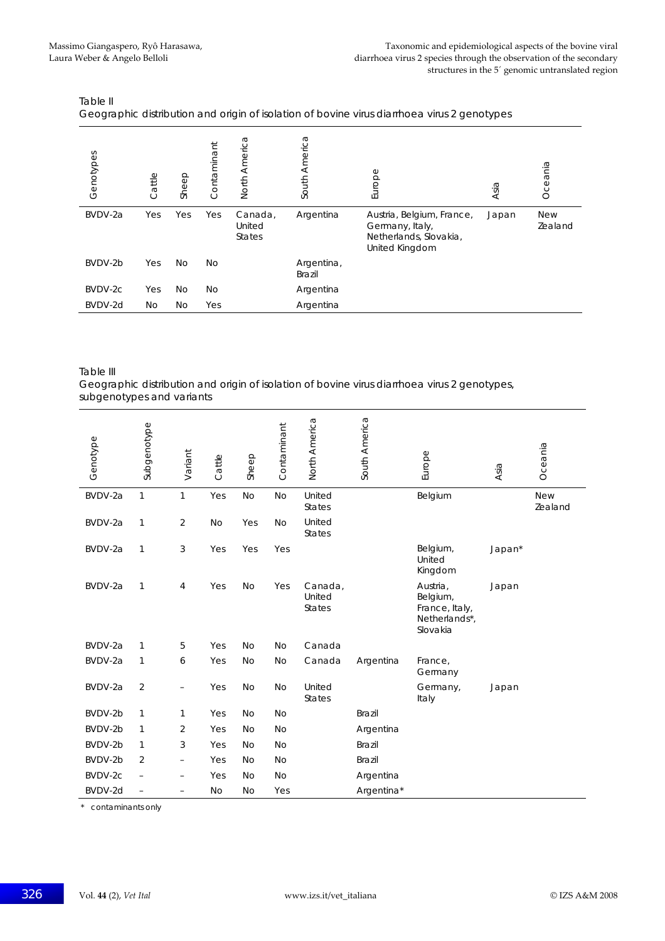| Genotypes | Cattle | Sheep | Contaminant | North America                      | America<br>South            | Europe                                                                                   | Asia  | Oceania               |
|-----------|--------|-------|-------------|------------------------------------|-----------------------------|------------------------------------------------------------------------------------------|-------|-----------------------|
| BVDV-2a   | Yes    | Yes   | Yes         | Canada,<br>United<br><b>States</b> | Argentina                   | Austria, Belgium, France,<br>Germany, Italy,<br>Netherlands, Slovakia,<br>United Kingdom | Japan | <b>New</b><br>Zealand |
| BVDV-2b   | Yes    | No    | No          |                                    | Argentina,<br><b>Brazil</b> |                                                                                          |       |                       |
| BVDV-2c   | Yes    | No    | No          |                                    | Argentina                   |                                                                                          |       |                       |
| BVDV-2d   | No     | No    | Yes         |                                    | Argentina                   |                                                                                          |       |                       |

| Table II                                                                                    |
|---------------------------------------------------------------------------------------------|
| Geographic distribution and origin of isolation of bovine virus diarrhoea virus 2 genotypes |

Table III

Geographic distribution and origin of isolation of bovine virus diarrhoea virus 2 genotypes, subgenotypes and variants

| Genotype | Subgenotype              | Variant                  | Cattle    | Sheep     | Contaminant | North America                      | South America | Europe                                                              | Asia   | Oceania               |
|----------|--------------------------|--------------------------|-----------|-----------|-------------|------------------------------------|---------------|---------------------------------------------------------------------|--------|-----------------------|
| BVDV-2a  | 1                        | 1                        | Yes       | <b>No</b> | <b>No</b>   | United<br><b>States</b>            |               | Belgium                                                             |        | <b>New</b><br>Zealand |
| BVDV-2a  | 1                        | $\overline{2}$           | <b>No</b> | Yes       | <b>No</b>   | United<br><b>States</b>            |               |                                                                     |        |                       |
| BVDV-2a  | 1                        | 3                        | Yes       | Yes       | Yes         |                                    |               | Belgium,<br>United<br>Kingdom                                       | Japan* |                       |
| BVDV-2a  | $\mathbf{1}$             | 4                        | Yes       | <b>No</b> | Yes         | Canada,<br>United<br><b>States</b> |               | Austria,<br>Belgium,<br>France, Italy,<br>Netherlands*,<br>Slovakia | Japan  |                       |
| BVDV-2a  | $\mathbf{1}$             | 5                        | Yes       | <b>No</b> | <b>No</b>   | Canada                             |               |                                                                     |        |                       |
| BVDV-2a  | $\mathbf{1}$             | 6                        | Yes       | <b>No</b> | <b>No</b>   | Canada                             | Argentina     | France,<br>Germany                                                  |        |                       |
| BVDV-2a  | $\overline{2}$           | $\overline{\phantom{0}}$ | Yes       | <b>No</b> | <b>No</b>   | United<br><b>States</b>            |               | Germany,<br>Italy                                                   | Japan  |                       |
| BVDV-2b  | $\mathbf{1}$             | $\mathbf{1}$             | Yes       | <b>No</b> | <b>No</b>   |                                    | <b>Brazil</b> |                                                                     |        |                       |
| BVDV-2b  | 1                        | 2                        | Yes       | <b>No</b> | <b>No</b>   |                                    | Argentina     |                                                                     |        |                       |
| BVDV-2b  | 1                        | 3                        | Yes       | <b>No</b> | <b>No</b>   |                                    | <b>Brazil</b> |                                                                     |        |                       |
| BVDV-2b  | 2                        | $\overline{\phantom{0}}$ | Yes       | <b>No</b> | <b>No</b>   |                                    | Brazil        |                                                                     |        |                       |
| BVDV-2c  | $\overline{\phantom{m}}$ | $\overline{\phantom{m}}$ | Yes       | <b>No</b> | <b>No</b>   |                                    | Argentina     |                                                                     |        |                       |
| BVDV-2d  | $\equiv$                 | $\overline{\phantom{0}}$ | <b>No</b> | <b>No</b> | Yes         |                                    | Argentina*    |                                                                     |        |                       |

\* contaminants only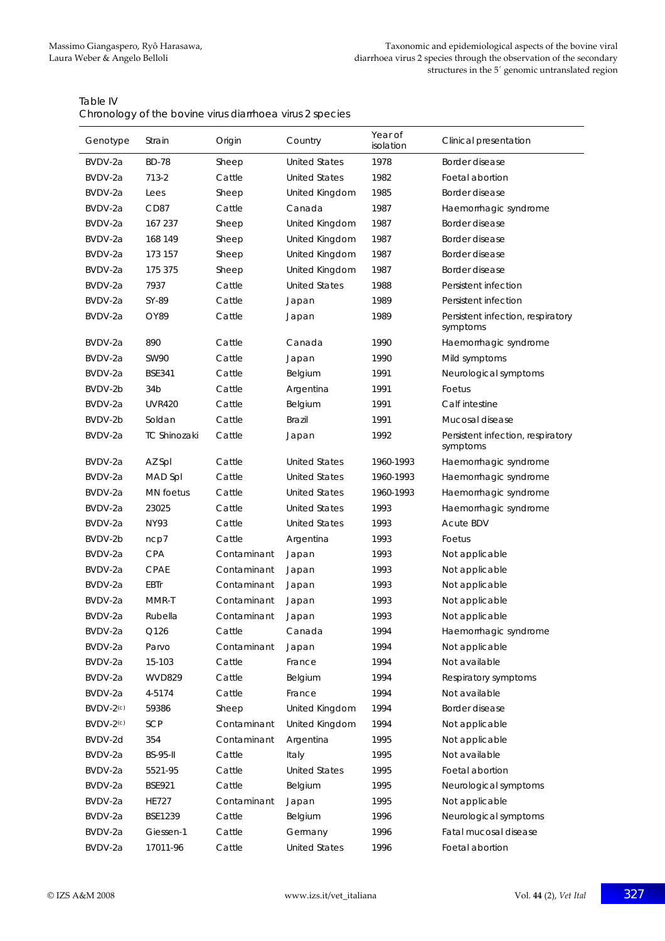| Table IV                                                 |
|----------------------------------------------------------|
| Chronology of the bovine virus diarrhoea virus 2 species |

| Genotype    | Strain              | Origin      | Country              | Year of<br>isolation | Clinical presentation                         |
|-------------|---------------------|-------------|----------------------|----------------------|-----------------------------------------------|
| BVDV-2a     | <b>BD-78</b>        | Sheep       | <b>United States</b> | 1978                 | Border disease                                |
| BVDV-2a     | 713-2               | Cattle      | <b>United States</b> | 1982                 | Foetal abortion                               |
| BVDV-2a     | Lees                | Sheep       | United Kingdom       | 1985                 | Border disease                                |
| BVDV-2a     | CD <sub>87</sub>    | Cattle      | Canada               | 1987                 | Haemorrhagic syndrome                         |
| BVDV-2a     | 167 237             | Sheep       | United Kingdom       | 1987                 | Border disease                                |
| BVDV-2a     | 168 149             | Sheep       | United Kingdom       | 1987                 | Border disease                                |
| BVDV-2a     | 173 157             | Sheep       | United Kingdom       | 1987                 | Border disease                                |
| BVDV-2a     | 175 375             | Sheep       | United Kingdom       | 1987                 | Border disease                                |
| BVDV-2a     | 7937                | Cattle      | <b>United States</b> | 1988                 | Persistent infection                          |
| BVDV-2a     | SY-89               | Cattle      | Japan                | 1989                 | Persistent infection                          |
| BVDV-2a     | OY89                | Cattle      | Japan                | 1989                 | Persistent infection, respiratory<br>symptoms |
| BVDV-2a     | 890                 | Cattle      | Canada               | 1990                 | Haemorrhagic syndrome                         |
| BVDV-2a     | <b>SW90</b>         | Cattle      | Japan                | 1990                 | Mild symptoms                                 |
| BVDV-2a     | <b>BSE341</b>       | Cattle      | Belgium              | 1991                 | Neurological symptoms                         |
| BVDV-2b     | 34 <sub>b</sub>     | Cattle      | Argentina            | 1991                 | Foetus                                        |
| BVDV-2a     | <b>UVR420</b>       | Cattle      | Belgium              | 1991                 | Calf intestine                                |
| BVDV-2b     | Soldan              | Cattle      | <b>Brazil</b>        | 1991                 | Mucosal disease                               |
| BVDV-2a     | <b>TC Shinozaki</b> | Cattle      | Japan                | 1992                 | Persistent infection, respiratory<br>symptoms |
| BVDV-2a     | AZ Spl              | Cattle      | <b>United States</b> | 1960-1993            | Haemorrhagic syndrome                         |
| BVDV-2a     | MAD Spl             | Cattle      | <b>United States</b> | 1960-1993            | Haemorrhagic syndrome                         |
| BVDV-2a     | <b>MN</b> foetus    | Cattle      | <b>United States</b> | 1960-1993            | Haemorrhagic syndrome                         |
| BVDV-2a     | 23025               | Cattle      | <b>United States</b> | 1993                 | Haemorrhagic syndrome                         |
| BVDV-2a     | <b>NY93</b>         | Cattle      | <b>United States</b> | 1993                 | <b>Acute BDV</b>                              |
| BVDV-2b     | ncp7                | Cattle      | Argentina            | 1993                 | Foetus                                        |
| BVDV-2a     | <b>CPA</b>          | Contaminant | Japan                | 1993                 | Not applicable                                |
| BVDV-2a     | <b>CPAE</b>         | Contaminant | Japan                | 1993                 | Not applicable                                |
| BVDV-2a     | <b>EBTr</b>         | Contaminant | Japan                | 1993                 | Not applicable                                |
| BVDV-2a     | MMR-T               | Contaminant | Japan                | 1993                 | Not applicable                                |
| BVDV-2a     | Rubella             | Contaminant | Japan                | 1993                 | Not applicable                                |
| BVDV-2a     | Q126                | Cattle      | Canada               | 1994                 | Haemorrhagic syndrome                         |
| BVDV-2a     | Parvo               | Contaminant | Japan                | 1994                 | Not applicable                                |
| BVDV-2a     | 15-103              | Cattle      | France               | 1994                 | Not available                                 |
| BVDV-2a     | <b>WVD829</b>       | Cattle      | Belgium              | 1994                 | Respiratory symptoms                          |
| BVDV-2a     | 4-5174              | Cattle      | France               | 1994                 | Not available                                 |
| BVDV-2(c)   | 59386               | Sheep       | United Kingdom       | 1994                 | Border disease                                |
| $BVDV-2(c)$ | SCP                 | Contaminant | United Kingdom       | 1994                 | Not applicable                                |
| BVDV-2d     | 354                 | Contaminant | Argentina            | 1995                 | Not applicable                                |
| BVDV-2a     | <b>BS-95-II</b>     | Cattle      | Italy                | 1995                 | Not available                                 |
| BVDV-2a     | 5521-95             | Cattle      | <b>United States</b> | 1995                 | Foetal abortion                               |
| BVDV-2a     | <b>BSE921</b>       | Cattle      | Belgium              | 1995                 | Neurological symptoms                         |
| BVDV-2a     | <b>HE727</b>        | Contaminant | Japan                | 1995                 | Not applicable                                |
| BVDV-2a     | BSE1239             | Cattle      | Belgium              | 1996                 | Neurological symptoms                         |
| BVDV-2a     | Giessen-1           | Cattle      | Germany              | 1996                 | Fatal mucosal disease                         |
| BVDV-2a     | 17011-96            | Cattle      | <b>United States</b> | 1996                 | Foetal abortion                               |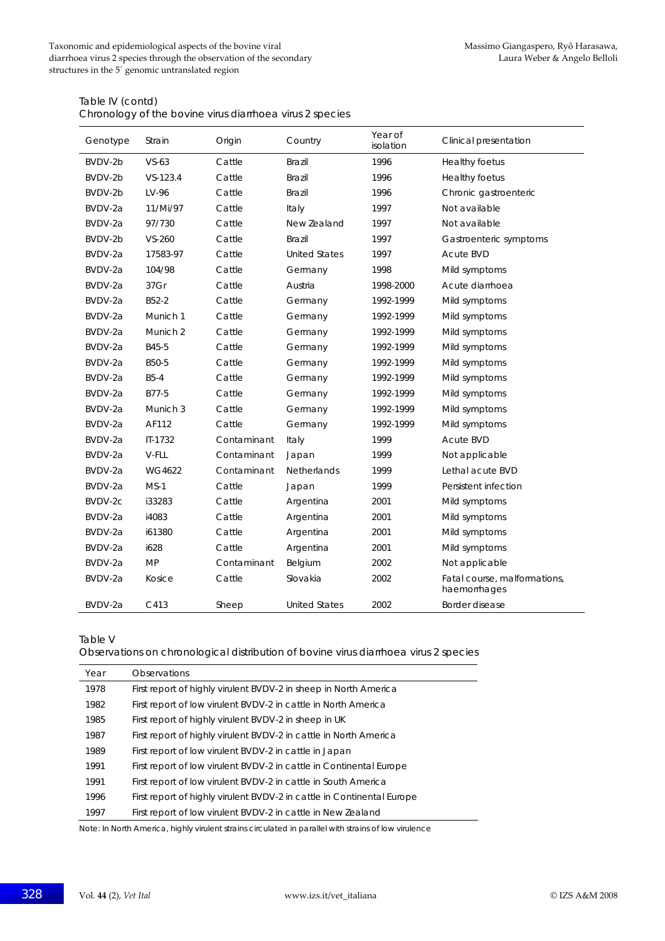#### Table IV (contd)

Chronology of the bovine virus diarrhoea virus 2 species

| Genotype | Strain       | Origin      | Country              | Year of<br>isolation | Clinical presentation                        |
|----------|--------------|-------------|----------------------|----------------------|----------------------------------------------|
| BVDV-2b  | $VS-63$      | Cattle      | <b>Brazil</b>        | 1996                 | Healthy foetus                               |
| BVDV-2b  | $VS - 123.4$ | Cattle      | <b>Brazil</b>        | 1996                 | Healthy foetus                               |
| BVDV-2b  | LV-96        | Cattle      | Brazil               | 1996                 | Chronic gastroenteric                        |
| BVDV-2a  | 11/Mi/97     | Cattle      | Italy                | 1997                 | Not available                                |
| BVDV-2a  | 97/730       | Cattle      | New Zealand          | 1997                 | Not available                                |
| BVDV-2b  | $VS - 260$   | Cattle      | <b>Brazil</b>        | 1997                 | Gastroenteric symptoms                       |
| BVDV-2a  | 17583-97     | Cattle      | <b>United States</b> | 1997                 | Acute BVD                                    |
| BVDV-2a  | 104/98       | Cattle      | Germany              | 1998                 | Mild symptoms                                |
| BVDV-2a  | 37Gr         | Cattle      | Austria              | 1998-2000            | Acute diarrhoea                              |
| BVDV-2a  | B52-2        | Cattle      | Germany              | 1992-1999            | Mild symptoms                                |
| BVDV-2a  | Munich 1     | Cattle      | Germany              | 1992-1999            | Mild symptoms                                |
| BVDV-2a  | Munich 2     | Cattle      | Germany              | 1992-1999            | Mild symptoms                                |
| BVDV-2a  | B45-5        | Cattle      | Germany              | 1992-1999            | Mild symptoms                                |
| BVDV-2a  | B50-5        | Cattle      | Germany              | 1992-1999            | Mild symptoms                                |
| BVDV-2a  | $B5-4$       | Cattle      | Germany              | 1992-1999            | Mild symptoms                                |
| BVDV-2a  | B77-5        | Cattle      | Germany              | 1992-1999            | Mild symptoms                                |
| BVDV-2a  | Munich 3     | Cattle      | Germany              | 1992-1999            | Mild symptoms                                |
| BVDV-2a  | AF112        | Cattle      | Germany              | 1992-1999            | Mild symptoms                                |
| BVDV-2a  | $II - 1732$  | Contaminant | Italy                | 1999                 | <b>Acute BVD</b>                             |
| BVDV-2a  | V-FLL        | Contaminant | Japan                | 1999                 | Not applicable                               |
| BVDV-2a  | WG4622       | Contaminant | Netherlands          | 1999                 | Lethal acute BVD                             |
| BVDV-2a  | $MS-1$       | Cattle      | Japan                | 1999                 | Persistent infection                         |
| BVDV-2c  | i33283       | Cattle      | Argentina            | 2001                 | Mild symptoms                                |
| BVDV-2a  | i4083        | Cattle      | Argentina            | 2001                 | Mild symptoms                                |
| BVDV-2a  | i61380       | Cattle      | Argentina            | 2001                 | Mild symptoms                                |
| BVDV-2a  | i628         | Cattle      | Argentina            | 2001                 | Mild symptoms                                |
| BVDV-2a  | <b>MP</b>    | Contaminant | Belgium              | 2002                 | Not applicable                               |
| BVDV-2a  | Kosice       | Cattle      | Slovakia             | 2002                 | Fatal course, malformations,<br>haemorrhages |
| BVDV-2a  | C413         | Sheep       | <b>United States</b> | 2002                 | Border disease                               |

Table V

Observations on chronological distribution of bovine virus diarrhoea virus 2 species

| Year | <b>Observations</b>                                                    |
|------|------------------------------------------------------------------------|
| 1978 | First report of highly virulent BVDV-2 in sheep in North America       |
| 1982 | First report of low virulent BVDV-2 in cattle in North America         |
| 1985 | First report of highly virulent BVDV-2 in sheep in UK                  |
| 1987 | First report of highly virulent BVDV-2 in cattle in North America      |
| 1989 | First report of low virulent BVDV-2 in cattle in Japan                 |
| 1991 | First report of low virulent BVDV-2 in cattle in Continental Europe    |
| 1991 | First report of low virulent BVDV-2 in cattle in South America         |
| 1996 | First report of highly virulent BVDV-2 in cattle in Continental Europe |
| 1997 | First report of low virulent BVDV-2 in cattle in New Zealand           |

Note: In North America, highly virulent strains circulated in parallel with strains of low virulence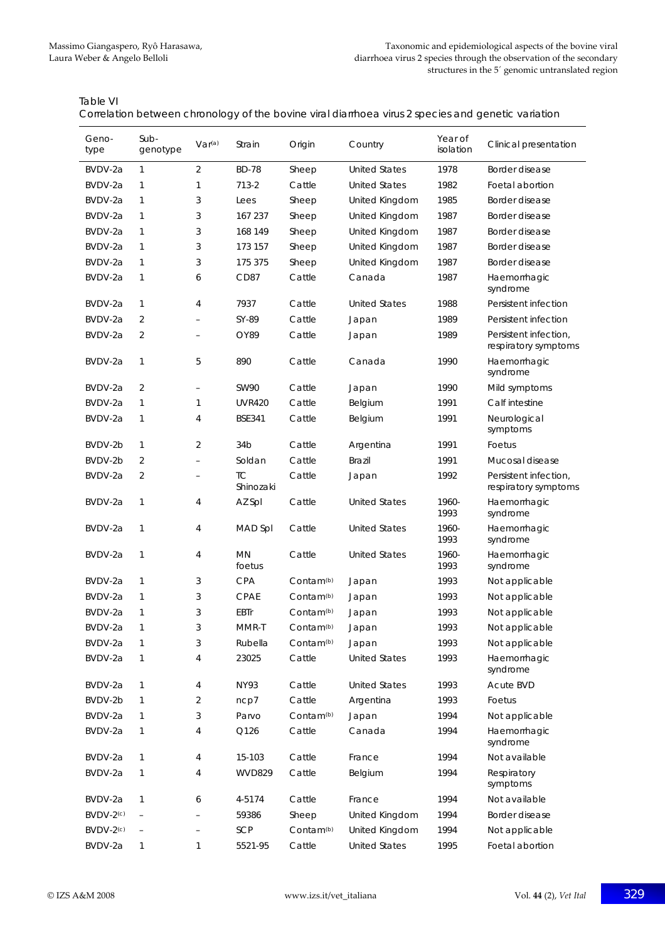| Table VI                                                                                           |
|----------------------------------------------------------------------------------------------------|
| Correlation between chronology of the bovine viral diarrhoea virus 2 species and genetic variation |

| Geno-<br>type         | Sub-<br>genotype | Var <sup>(a)</sup>       | Strain              | Origin                | Country              | Year of<br>isolation | Clinical presentation                         |
|-----------------------|------------------|--------------------------|---------------------|-----------------------|----------------------|----------------------|-----------------------------------------------|
| BVDV-2a               | 1                | 2                        | <b>BD-78</b>        | Sheep                 | <b>United States</b> | 1978                 | Border disease                                |
| BVDV-2a               | 1                | 1                        | $713 - 2$           | Cattle                | <b>United States</b> | 1982                 | Foetal abortion                               |
| BVDV-2a               | 1                | 3                        | Lees                | Sheep                 | United Kingdom       | 1985                 | Border disease                                |
| BVDV-2a               | 1                | 3                        | 167 237             | Sheep                 | United Kingdom       | 1987                 | Border disease                                |
| BVDV-2a               | 1                | 3                        | 168 149             | Sheep                 | United Kingdom       | 1987                 | Border disease                                |
| BVDV-2a               | 1                | 3                        | 173 157             | Sheep                 | United Kingdom       | 1987                 | Border disease                                |
| BVDV-2a               | 1                | 3                        | 175 375             | Sheep                 | United Kingdom       | 1987                 | Border disease                                |
| BVDV-2a               | 1                | 6                        | CD87                | Cattle                | Canada               | 1987                 | Haemorrhagic<br>syndrome                      |
| BVDV-2a               | 1                | $\overline{4}$           | 7937                | Cattle                | <b>United States</b> | 1988                 | Persistent infection                          |
| BVDV-2a               | 2                |                          | SY-89               | Cattle                | Japan                | 1989                 | Persistent infection                          |
| BVDV-2a               | $\overline{2}$   |                          | OY89                | Cattle                | Japan                | 1989                 | Persistent infection,<br>respiratory symptoms |
| BVDV-2a               | 1                | 5                        | 890                 | Cattle                | Canada               | 1990                 | Haemorrhagic<br>syndrome                      |
| BVDV-2a               | 2                | $\overline{\phantom{a}}$ | <b>SW90</b>         | Cattle                | Japan                | 1990                 | Mild symptoms                                 |
| BVDV-2a               | 1                | $\mathbf{1}$             | <b>UVR420</b>       | Cattle                | Belgium              | 1991                 | Calf intestine                                |
| BVDV-2a               | 1                | 4                        | <b>BSE341</b>       | Cattle                | Belgium              | 1991                 | Neurological<br>symptoms                      |
| BVDV-2b               | 1                | $\overline{2}$           | 34 <sub>b</sub>     | Cattle                | Argentina            | 1991                 | Foetus                                        |
| BVDV-2b               | $\overline{2}$   | $\overline{\phantom{0}}$ | Soldan              | Cattle                | Brazil               | 1991                 | Mucosal disease                               |
| BVDV-2a               | 2                |                          | TC<br>Shinozaki     | Cattle                | Japan                | 1992                 | Persistent infection,<br>respiratory symptoms |
| BVDV-2a               | 1                | $\overline{4}$           | AZ Spl              | Cattle                | <b>United States</b> | 1960-<br>1993        | Haemorrhagic<br>syndrome                      |
| BVDV-2a               | 1                | 4                        | MAD Spl             | Cattle                | <b>United States</b> | 1960-<br>1993        | Haemorrhagic<br>syndrome                      |
| BVDV-2a               | 1                | $\overline{4}$           | <b>MN</b><br>foetus | Cattle                | <b>United States</b> | 1960-<br>1993        | Haemorrhagic<br>syndrome                      |
| BVDV-2a               | 1                | 3                        | <b>CPA</b>          | Contam <sup>(b)</sup> | Japan                | 1993                 | Not applicable                                |
| BVDV-2a               | 1                | 3                        | CPAE                | Contam <sup>(b)</sup> | Japan                | 1993                 | Not applicable                                |
| BVDV-2a               | 1                | 3                        | EBTr                | Contam <sup>(b)</sup> | Japan                | 1993                 | Not applicable                                |
| BVDV-2a               | 1                | 3                        | MMR-T               | Contam <sup>(b)</sup> | Japan                | 1993                 | Not applicable                                |
| BVDV-2a               | 1                | 3                        | Rubella             | Contam <sup>(b)</sup> | Japan                | 1993                 | Not applicable                                |
| BVDV-2a               | 1                | 4                        | 23025               | Cattle                | <b>United States</b> | 1993                 | Haemorrhagic<br>syndrome                      |
| BVDV-2a               | 1                | 4                        | <b>NY93</b>         | Cattle                | <b>United States</b> | 1993                 | Acute BVD                                     |
| BVDV-2b               | 1                | 2                        | ncp7                | Cattle                | Argentina            | 1993                 | Foetus                                        |
| BVDV-2a               | 1                | 3                        | Parvo               | Contam <sup>(b)</sup> | Japan                | 1994                 | Not applicable                                |
| BVDV-2a               | 1                | 4                        | Q126                | Cattle                | Canada               | 1994                 | Haemorrhagic<br>syndrome                      |
| BVDV-2a               | 1                | 4                        | 15-103              | Cattle                | France               | 1994                 | Not available                                 |
| BVDV-2a               | 1                | 4                        | <b>WVD829</b>       | Cattle                | Belgium              | 1994                 | Respiratory<br>symptoms                       |
| BVDV-2a               | 1                | 6                        | 4-5174              | Cattle                | France               | 1994                 | Not available                                 |
| BVDV-2(c)             |                  |                          | 59386               | Sheep                 | United Kingdom       | 1994                 | Border disease                                |
| BVDV-2 <sup>(c)</sup> |                  |                          | SCP                 | Contam <sup>(b)</sup> | United Kingdom       | 1994                 | Not applicable                                |
| BVDV-2a               | 1                | 1                        | 5521-95             | Cattle                | <b>United States</b> | 1995                 | Foetal abortion                               |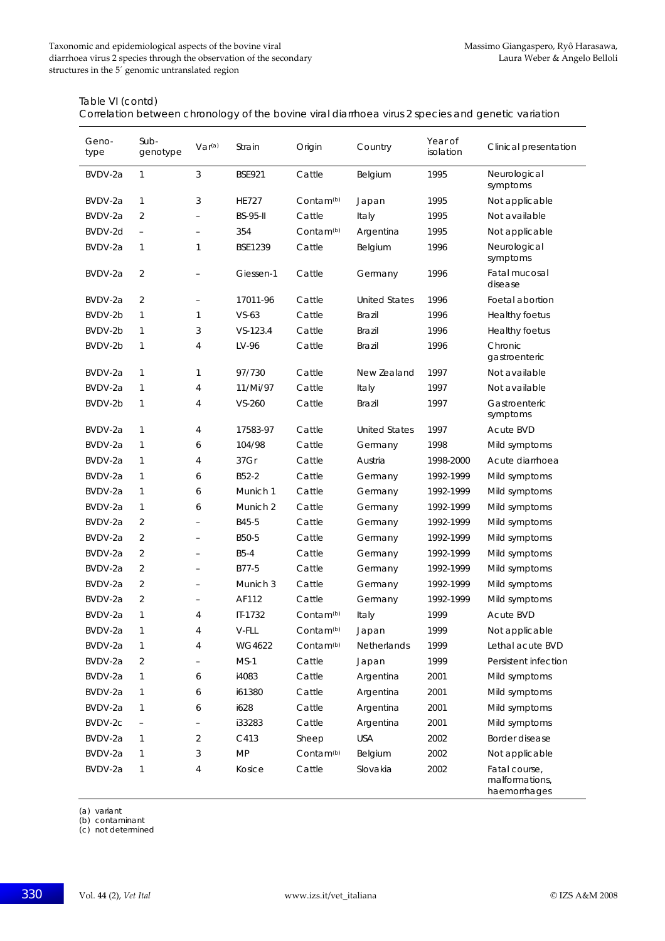Table VI (contd)

Correlation between chronology of the bovine viral diarrhoea virus 2 species and genetic variation

| Geno-<br>type | Sub-<br>genotype         | Var <sup>(a)</sup>       | Strain          | Origin                | Country              | Year of<br>isolation | Clinical presentation                           |
|---------------|--------------------------|--------------------------|-----------------|-----------------------|----------------------|----------------------|-------------------------------------------------|
| BVDV-2a       | $\mathbf{1}$             | 3                        | <b>BSE921</b>   | Cattle                | Belgium              | 1995                 | Neurological<br>symptoms                        |
| BVDV-2a       | 1                        | 3                        | <b>HE727</b>    | Contam <sup>(b)</sup> | Japan                | 1995                 | Not applicable                                  |
| BVDV-2a       | 2                        |                          | <b>BS-95-II</b> | Cattle                | Italy                | 1995                 | Not available                                   |
| BVDV-2d       | $\overline{\phantom{a}}$ | $\qquad \qquad -$        | 354             | Contam <sup>(b)</sup> | Argentina            | 1995                 | Not applicable                                  |
| BVDV-2a       | $\mathbf{1}$             | 1                        | <b>BSE1239</b>  | Cattle                | Belgium              | 1996                 | Neurological<br>symptoms                        |
| BVDV-2a       | 2                        |                          | Giessen-1       | Cattle                | Germany              | 1996                 | Fatal mucosal<br>disease                        |
| BVDV-2a       | 2                        | $\qquad \qquad -$        | 17011-96        | Cattle                | <b>United States</b> | 1996                 | Foetal abortion                                 |
| BVDV-2b       | 1                        | 1                        | $VS-63$         | Cattle                | <b>Brazil</b>        | 1996                 | Healthy foetus                                  |
| BVDV-2b       | $\mathbf{1}$             | 3                        | VS-123.4        | Cattle                | <b>Brazil</b>        | 1996                 | Healthy foetus                                  |
| BVDV-2b       | $\mathbf{1}$             | 4                        | LV-96           | Cattle                | <b>Brazil</b>        | 1996                 | Chronic<br>gastroenteric                        |
| BVDV-2a       | 1                        | 1                        | 97/730          | Cattle                | New Zealand          | 1997                 | Not available                                   |
| BVDV-2a       | 1                        | 4                        | 11/Mi/97        | Cattle                | Italy                | 1997                 | Not available                                   |
| BVDV-2b       | 1                        | 4                        | $VS - 260$      | Cattle                | <b>Brazil</b>        | 1997                 | Gastroenteric<br>symptoms                       |
| BVDV-2a       | $\mathbf{1}$             | 4                        | 17583-97        | Cattle                | <b>United States</b> | 1997                 | <b>Acute BVD</b>                                |
| BVDV-2a       | 1                        | 6                        | 104/98          | Cattle                | Germany              | 1998                 | Mild symptoms                                   |
| BVDV-2a       | 1                        | 4                        | 37Gr            | Cattle                | Austria              | 1998-2000            | Acute diarrhoea                                 |
| BVDV-2a       | 1                        | 6                        | B52-2           | Cattle                | Germany              | 1992-1999            | Mild symptoms                                   |
| BVDV-2a       | 1                        | 6                        | Munich 1        | Cattle                | Germany              | 1992-1999            | Mild symptoms                                   |
| BVDV-2a       | $\mathbf{1}$             | 6                        | Munich 2        | Cattle                | Germany              | 1992-1999            | Mild symptoms                                   |
| BVDV-2a       | $\overline{2}$           | $\overline{\phantom{0}}$ | B45-5           | Cattle                | Germany              | 1992-1999            | Mild symptoms                                   |
| BVDV-2a       | 2                        |                          | B50-5           | Cattle                | Germany              | 1992-1999            | Mild symptoms                                   |
| BVDV-2a       | 2                        | $\overline{\phantom{0}}$ | $B5-4$          | Cattle                | Germany              | 1992-1999            | Mild symptoms                                   |
| BVDV-2a       | 2                        | $\overline{\phantom{0}}$ | B77-5           | Cattle                | Germany              | 1992-1999            | Mild symptoms                                   |
| BVDV-2a       | $\overline{2}$           | $\equiv$                 | Munich 3        | Cattle                | Germany              | 1992-1999            | Mild symptoms                                   |
| BVDV-2a       | 2                        | $\overline{\phantom{0}}$ | AF112           | Cattle                | Germany              | 1992-1999            | Mild symptoms                                   |
| BVDV-2a       | $\mathbf{1}$             | 4                        | IT-1732         | Contam <sup>(b)</sup> | Italy                | 1999                 | <b>Acute BVD</b>                                |
| BVDV-2a       | 1                        | 4                        | $V$ -FLL        | Contam <sup>(b)</sup> | Japan                | 1999                 | Not applicable                                  |
| BVDV-2a       | 1                        | 4                        | WG4622          | Contam <sup>(b)</sup> | Netherlands          | 1999                 | Lethal acute BVD                                |
| BVDV-2a       | 2                        | $\overline{\phantom{0}}$ | $MS-1$          | Cattle                | Japan                | 1999                 | Persistent infection                            |
| BVDV-2a       | 1                        | 6                        | i4083           | Cattle                | Argentina            | 2001                 | Mild symptoms                                   |
| BVDV-2a       | 1                        | 6                        | i61380          | Cattle                | Argentina            | 2001                 | Mild symptoms                                   |
| BVDV-2a       | 1                        | 6                        | i628            | Cattle                | Argentina            | 2001                 | Mild symptoms                                   |
| BVDV-2c       |                          |                          | i33283          | Cattle                | Argentina            | 2001                 | Mild symptoms                                   |
| BVDV-2a       | $\mathbf{1}$             | 2                        | C413            | Sheep                 | <b>USA</b>           | 2002                 | Border disease                                  |
| BVDV-2a       | 1                        | 3                        | <b>MP</b>       | Contam <sup>(b)</sup> | Belgium              | 2002                 | Not applicable                                  |
| BVDV-2a       | $\mathbf{1}$             | 4                        | Kosice          | Cattle                | Slovakia             | 2002                 | Fatal course,<br>malformations,<br>haemorrhages |

(a) variant

(b) contaminant

(c) not determined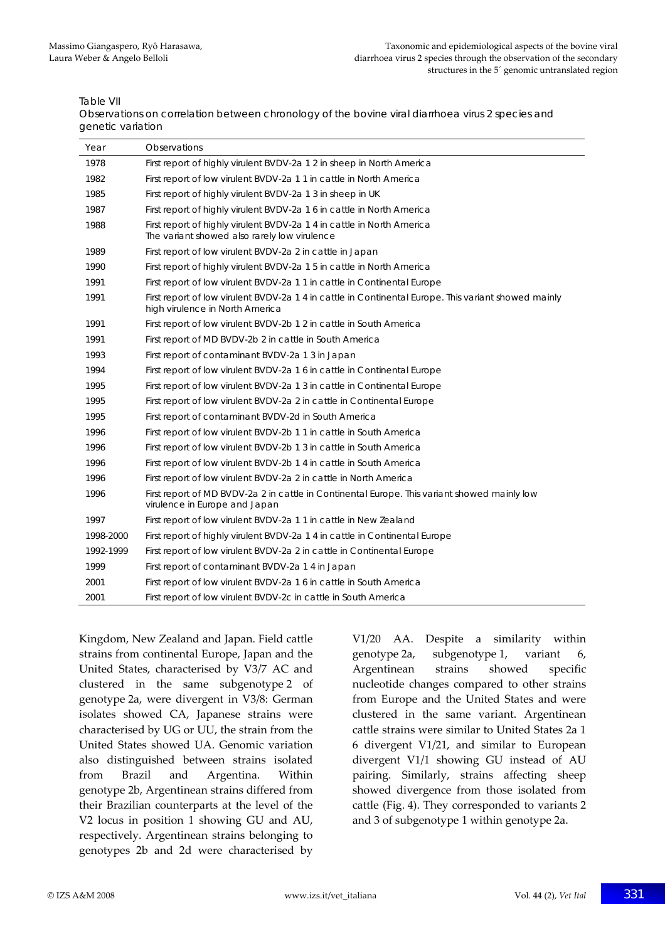Table VII

Observations on correlation between chronology of the bovine viral diarrhoea virus 2 species and genetic variation

| Year      | Observations                                                                                                                            |
|-----------|-----------------------------------------------------------------------------------------------------------------------------------------|
| 1978      | First report of highly virulent BVDV-2a 1 2 in sheep in North America                                                                   |
| 1982      | First report of low virulent BVDV-2a 1 1 in cattle in North America                                                                     |
| 1985      | First report of highly virulent BVDV-2a 1 3 in sheep in UK                                                                              |
| 1987      | First report of highly virulent BVDV-2a 1 6 in cattle in North America                                                                  |
| 1988      | First report of highly virulent BVDV-2a 1 4 in cattle in North America<br>The variant showed also rarely low virulence                  |
| 1989      | First report of low virulent BVDV-2a 2 in cattle in Japan                                                                               |
| 1990      | First report of highly virulent BVDV-2a 1 5 in cattle in North America                                                                  |
| 1991      | First report of low virulent BVDV-2a 1 1 in cattle in Continental Europe                                                                |
| 1991      | First report of low virulent BVDV-2a 1 4 in cattle in Continental Europe. This variant showed mainly<br>high virulence in North America |
| 1991      | First report of low virulent BVDV-2b 1 2 in cattle in South America                                                                     |
| 1991      | First report of MD BVDV-2b 2 in cattle in South America                                                                                 |
| 1993      | First report of contaminant BVDV-2a 1 3 in Japan                                                                                        |
| 1994      | First report of low virulent BVDV-2a 1 6 in cattle in Continental Europe                                                                |
| 1995      | First report of low virulent BVDV-2a 1 3 in cattle in Continental Europe                                                                |
| 1995      | First report of low virulent BVDV-2a 2 in cattle in Continental Europe                                                                  |
| 1995      | First report of contaminant BVDV-2d in South America                                                                                    |
| 1996      | First report of low virulent BVDV-2b 1 1 in cattle in South America                                                                     |
| 1996      | First report of low virulent BVDV-2b 1 3 in cattle in South America                                                                     |
| 1996      | First report of low virulent BVDV-2b 1 4 in cattle in South America                                                                     |
| 1996      | First report of low virulent BVDV-2a 2 in cattle in North America                                                                       |
| 1996      | First report of MD BVDV-2a 2 in cattle in Continental Europe. This variant showed mainly low<br>virulence in Europe and Japan           |
| 1997      | First report of low virulent BVDV-2a 1 1 in cattle in New Zealand                                                                       |
| 1998-2000 | First report of highly virulent BVDV-2a 1 4 in cattle in Continental Europe                                                             |
| 1992-1999 | First report of low virulent BVDV-2a 2 in cattle in Continental Europe                                                                  |
| 1999      | First report of contaminant BVDV-2a 14 in Japan                                                                                         |
| 2001      | First report of low virulent BVDV-2a 1 6 in cattle in South America                                                                     |
| 2001      | First report of low virulent BVDV-2c in cattle in South America                                                                         |

Kingdom, New Zealand and Japan. Field cattle strains from continental Europe, Japan and the United States, characterised by V3/7 AC and clustered in the same subgenotype 2 of genotype 2a, were divergent in V3/8: German isolates showed CA, Japanese strains were characterised by UG or UU, the strain from the United States showed UA. Genomic variation also distinguished between strains isolated from Brazil and Argentina. Within genotype 2b, Argentinean strains differed from their Brazilian counterparts at the level of the V2 locus in position 1 showing GU and AU, respectively. Argentinean strains belonging to genotypes 2b and 2d were characterised by V1/20 AA. Despite a similarity within genotype 2a, subgenotype 1, variant 6, Argentinean strains showed specific nucleotide changes compared to other strains from Europe and the United States and were clustered in the same variant. Argentinean cattle strains were similar to United States 2a 1 6 divergent V1/21, and similar to European divergent V1/1 showing GU instead of AU pairing. Similarly, strains affecting sheep showed divergence from those isolated from cattle (Fig. 4). They corresponded to variants 2 and 3 of subgenotype 1 within genotype 2a.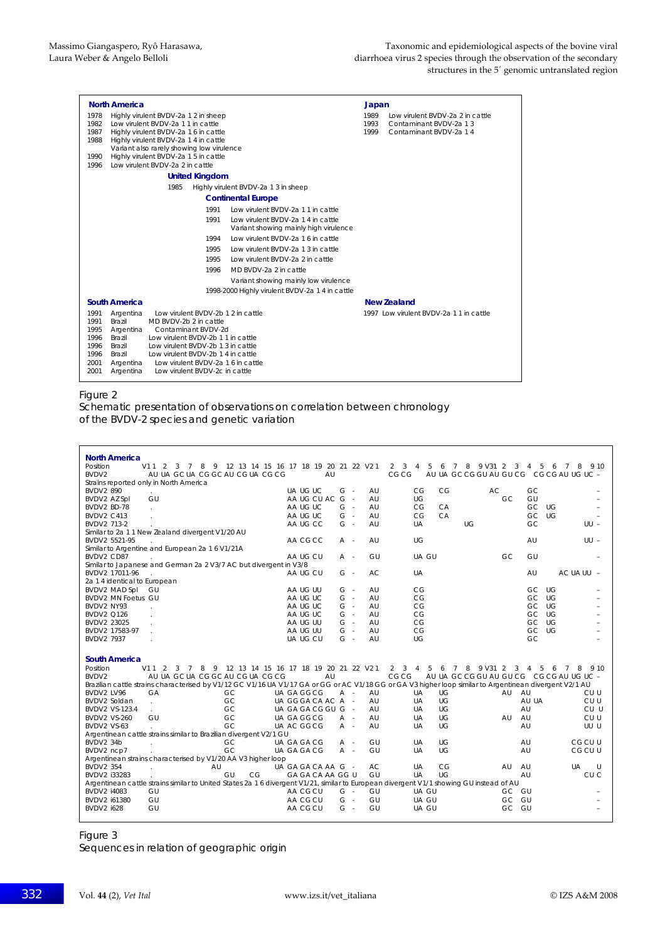| <b>North America</b><br>1978<br>Highly virulent BVDV-2a 1 2 in sheep<br>Low virulent BVDV-2a 1 1 in cattle<br>1982<br>1987<br>Highly virulent BVDV-2a 1 6 in cattle<br>1988<br>Highly virulent BVDV-2a 1 4 in cattle<br>Variant also rarely showing low virulence<br>Highly virulent BVDV-2a 1 5 in cattle<br>1990<br>Low virulent BVDV-2a 2 in cattle<br>1996                                                                            | Japan<br>1989<br>Low virulent BVDV-2a 2 in cattle<br>1993<br>Contaminant BVDV-2a 1.3<br>1999<br>Contaminant BVDV-2a 14 |
|-------------------------------------------------------------------------------------------------------------------------------------------------------------------------------------------------------------------------------------------------------------------------------------------------------------------------------------------------------------------------------------------------------------------------------------------|------------------------------------------------------------------------------------------------------------------------|
| <b>United Kingdom</b>                                                                                                                                                                                                                                                                                                                                                                                                                     |                                                                                                                        |
| 1985<br>Highly virulent BVDV-2a 1 3 in sheep                                                                                                                                                                                                                                                                                                                                                                                              |                                                                                                                        |
| <b>Continental Europe</b>                                                                                                                                                                                                                                                                                                                                                                                                                 |                                                                                                                        |
| 1991<br>Low virulent BVDV-2a 1.1 in cattle<br>1991<br>Low virulent BVDV-2a 1 4 in cattle<br>Variant showing mainly high virulence<br>Low virulent BVDV-2a 1.6 in cattle<br>1994<br>Low virulent BVDV-2a 1.3 in cattle<br>1995<br>1995<br>Low virulent BVDV-2a 2 in cattle<br>1996<br>MD BVDV-2a 2 in cattle<br>Variant showing mainly low virulence<br>1998-2000 Highly virulent BVDV-2a 14 in cattle                                     |                                                                                                                        |
| South America                                                                                                                                                                                                                                                                                                                                                                                                                             | <b>New Zealand</b>                                                                                                     |
| Low virulent BVDV-2b 1 2 in cattle<br>1991<br>Argentina<br>1991<br>Brazil<br>MD BVDV-2b 2 in cattle<br>1995<br>Contaminant BVDV-2d<br>Argentina<br>1996<br>Brazil<br>Low virulent BVDV-2b 1 1 in cattle<br>1996<br>Low virulent BVDV-2b 1 3 in cattle<br>Brazil<br>1996<br>Low virulent BVDV-2b 1 4 in cattle<br>Brazil<br>2001<br>Low virulent BVDV-2a 1 6 in cattle<br>Argentina<br>Low virulent BVDV-2c in cattle<br>2001<br>Argentina | 1997 Low virulent BVDV-2a 1.1 in cattle                                                                                |

#### Figure 2

Schematic presentation of observations on correlation between chronology of the BVDV-2 species and genetic variation

| <b>North America</b><br>Position<br>V11 2 3 7 8 9 12 13 14 15 16 17 18 19 20 21 22 V21<br>AU UA GC UA CG GC AU CG UA CG CG<br>BVDV <sub>2</sub><br>Strains reported only in North America                                                                                                                        | AU                                                                         |                                                          | 3<br>$\mathbf{2}$<br>4<br>5<br>6<br>7<br>CG CG                           | 8 9 V 31 2<br>3<br>4 5<br>AU UA GC CG GU AU GU CG CG CG AU UG UC -                   | 9 1 0<br>6<br>8<br>7            |
|------------------------------------------------------------------------------------------------------------------------------------------------------------------------------------------------------------------------------------------------------------------------------------------------------------------|----------------------------------------------------------------------------|----------------------------------------------------------|--------------------------------------------------------------------------|--------------------------------------------------------------------------------------|---------------------------------|
| <b>BVDV2 890</b><br>GU<br>BVDV2 AZ Spl<br>BVDV2 BD-78<br>$\mathbf{r}$<br><b>BVDV2 C413</b><br>÷.                                                                                                                                                                                                                 | UA UG UC<br>AA UG CU AC<br>AA UG UC<br>AA UG UC                            | $G -$<br>AU<br>$G -$<br>AU<br>$G -$<br>AU<br>$G -$<br>AU | CG<br>CG<br>UG<br>CG<br>CA<br>CG<br>CA                                   | GC<br>AC<br>GU<br>GC<br>GC<br>UG<br>GC<br>UG                                         |                                 |
| BVDV2 713-2<br>Similar to 2a 1 1 New Zealand divergent V1/20 AU<br>BVDV2 5521-95<br>Similar to Argentine and European 2a 1 6 V1/21A<br>BVDV2 CD87                                                                                                                                                                | AA UG CC<br>AA CGCC<br>AA UG CU                                            | $G -$<br>AU<br>AU<br>A -<br>GU<br>A -                    | <b>UA</b><br>UG<br>UG<br>UA GU                                           | GC<br>AU<br>GC<br>GU                                                                 | $UU -$<br>$UU -$                |
| Similar to Japanese and German 2a 2 V3/7 AC but divergent in V3/8<br>BVDV2 17011-96<br>2a 1 4 identical to European<br>BVDV2 MAD Spl<br>GU                                                                                                                                                                       | AA UG CU<br>AA UG UU                                                       | $G -$<br>AC.<br>$G -$<br>AU                              | UA<br>CG                                                                 | AU<br>GC.<br>UG                                                                      | AC UA UU -                      |
| <b>BVDV2 MN Foetus GU</b><br>BVDV2 NY93<br><b>BVDV2 Q126</b><br>÷<br>BVDV2 23025                                                                                                                                                                                                                                 | AA UG UC<br>AA UG UC<br>AA UG UC<br>AA UG UU                               | $G -$<br>AU<br>$G -$<br>AU<br>$G -$<br>AU<br>$G -$<br>AU | CG<br>CG<br>CG<br>CG                                                     | GC.<br>UG<br>$\bigcup G$<br>GC.<br>UG<br>GC.<br>GC<br>UG                             |                                 |
| BVDV2 17583-97<br>BVDV2 7937                                                                                                                                                                                                                                                                                     | AA UG UU<br>UA UG CU                                                       | AU<br>$G -$<br>$G -$<br>AU                               | CG<br>UG                                                                 | GC<br>UG<br>GC                                                                       |                                 |
| <b>South America</b><br>Position<br>3 7 8 9 12 13 14 15 16 17 18 19 20 21 22 V21<br>V11<br>2<br>AU UA GC UA CG GC AU CG UA CG CG<br>BVDV <sub>2</sub><br>Brazilian cattle strains characterised by V1/12 GC V1/16 UA V1/17 GA or GG or AC V1/18 GG or GA V3 higher loop similar to Argentinean divergent V2/1 AU | AU                                                                         |                                                          | 3<br>5<br>6<br>2<br>$\overline{4}$<br>$7^{\circ}$<br>CG CG               | 8 9 V 31 2<br>- 5<br>3<br>$\overline{4}$<br>AU UA GC CG GU AU GU CG CG CG AU UG UC - | 6<br>8<br>910<br>7              |
| BVDV2 LV96<br>GA<br>GC<br>GC<br>BVDV2 Soldan<br>i.<br>GC<br>BVDV2 VS-123.4<br>GU<br>GC<br><b>BVDV2 VS-260</b>                                                                                                                                                                                                    | UA GA GGCG<br>UA GGGA CA AC A -<br>UA GA GA CG GU G -<br><b>UA GA GGCG</b> | AU<br>A -<br>AU<br>AU<br>AU<br>A -                       | UG<br><b>UA</b><br><b>UG</b><br><b>UA</b><br>UG<br>UA<br>UG<br><b>UA</b> | AU<br>AU<br>AU UA<br>AU<br>AU<br>AU                                                  | CU U<br>CU U<br>CU U<br>CU U    |
| GC<br>BVDV2 VS-63<br>Argentinean cattle strains similar to Brazilian divergent V2/1 GU<br>BVDV2 34b<br>GC<br>GC<br>BVDV2 ncp7                                                                                                                                                                                    | UA AC GGCG<br>UA GA GA CG<br>UA GA GA CG                                   | AU<br>A -<br>GU<br>A -<br>GU<br>A -                      | UG<br><b>UA</b><br>UG<br>UA<br><b>UA</b><br>UG                           | AU<br>AU<br>AU                                                                       | UU U<br>CG CU U<br>CG CU U      |
| Argentinean strains characterised by V1/20 AA V3 higher loop<br><b>BVDV2 354</b><br>AU<br>GU<br>CG<br>BVDV2 133283<br>Argentinean cattle strains similar to United States 2a 1 6 divergent V1/21, similar to European divergent V1/1 showing GU instead of AU                                                    | UA GA GA CA AA G -<br>GA GA CA AA GG U                                     | AC<br>GU                                                 | CG<br><b>UA</b><br>UA<br>UG                                              | AU<br>AU<br>AU                                                                       | UA<br>$\cup$<br>CU <sub>C</sub> |
| <b>BVDV2 i4083</b><br>GU<br>GU<br>BVDV2 i61380<br>GU<br><b>BVDV2 i628</b>                                                                                                                                                                                                                                        | AA CG CU<br>AA CG CU<br>AA CG CU                                           | $G -$<br>GU<br>$G -$<br>GU<br>$G -$<br>GU                | UA GU<br>UA GU<br>UA GU                                                  | GC GU<br>GU<br>GC.<br>GC<br>GU                                                       |                                 |

Figure 3

Sequences in relation of geographic origin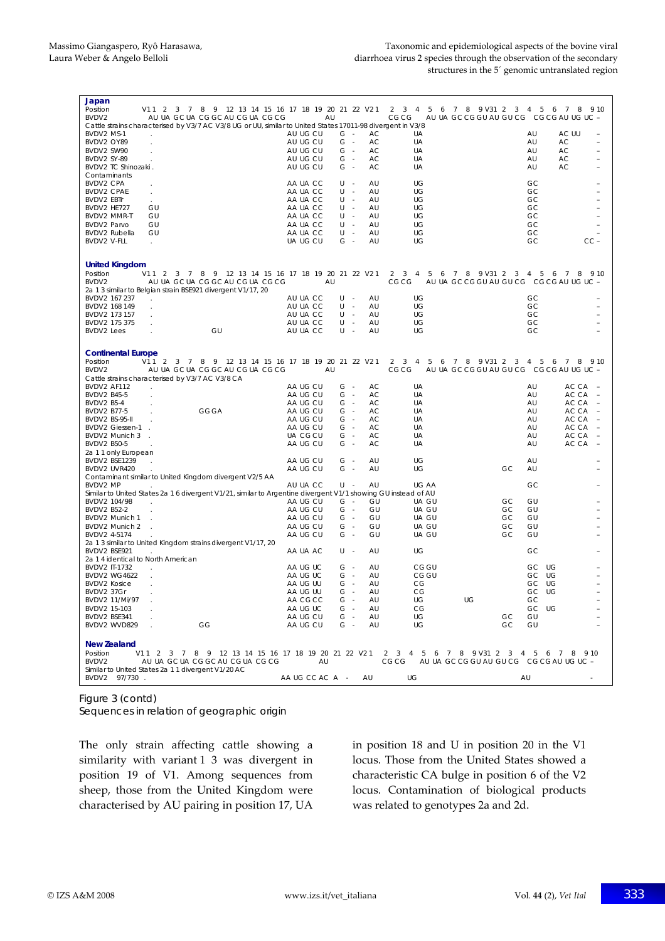| Japan<br>Position<br>V11 2 3 7 8 9 12 13 14 15 16 17 18 19 20 21 22 V2 1                                                                           |                      |                |          | $2 \quad 3$<br>7 8 9 V 31 2 3 4 5<br>4<br>5<br>6                              |          | 6           | 9 10<br>7<br>8                                                         |
|----------------------------------------------------------------------------------------------------------------------------------------------------|----------------------|----------------|----------|-------------------------------------------------------------------------------|----------|-------------|------------------------------------------------------------------------|
| BVDV2<br>AU UA GC UA CG GC AU CG UA CG CG                                                                                                          |                      | AU             |          | CG CG<br>AU UA GC CG GU AU GU CG CG CG AU UG UC -                             |          |             |                                                                        |
| Cattle strains characterised by V3/7 AC V3/8 UG or UU, similar to United States 17011-98 divergent in V3/8                                         |                      |                |          |                                                                               |          |             |                                                                        |
| BVDV2 MS-1                                                                                                                                         | AU UG CU             | $G -$          | AC.      | UA                                                                            |          | AU          | AC UU                                                                  |
| BVDV2 OY89                                                                                                                                         | AU UG CU             | $G -$          | AC       | UA                                                                            |          | AU          | AC<br>L,                                                               |
| BVDV2 SW90<br>BVDV2 SY-89                                                                                                                          | AU UG CU<br>AU UG CU | $G -$<br>$G -$ | AC<br>AC | <b>UA</b><br>UA                                                               |          | AU<br>AU    | AC<br>AC                                                               |
| BVDV2 TC Shinozaki.                                                                                                                                | AU UG CU             | $G -$          | AC       | UA                                                                            |          | AU          | AC                                                                     |
| Contaminants                                                                                                                                       |                      |                |          |                                                                               |          |             |                                                                        |
| BVDV2 CPA                                                                                                                                          | AA UA CC             | U -            | AU       | UG                                                                            |          | GC          |                                                                        |
| <b>BVDV2 CPAE</b><br>$\epsilon$                                                                                                                    | AA UA CC             | U<br>$\sim$    | AU       | UG                                                                            |          | GC          |                                                                        |
| <b>BVDV2 EBTr</b>                                                                                                                                  | AA UA CC             | U -            | AU       | UG                                                                            |          | GC          |                                                                        |
| BVDV2 HE727<br>GU<br>BVDV2 MMR-T<br>GU                                                                                                             | AA UA CC<br>AA UA CC | U -<br>U -     | AU<br>AU | UG<br>UG                                                                      |          | GC<br>GC    |                                                                        |
| GU<br>BVDV2 Parvo                                                                                                                                  | AA UA CC             | U -            | AU       | UG                                                                            |          | GC          |                                                                        |
| BVDV2 Rubella<br>GU                                                                                                                                | AA UA CC             | U -            | AU       | UG                                                                            |          | GC          |                                                                        |
| BVDV2 V-FLL<br>$\mathcal{L}^{\mathcal{L}}$                                                                                                         | UA UG CU             | $G -$          | AU       | UG                                                                            |          | GC          | $CC -$                                                                 |
|                                                                                                                                                    |                      |                |          |                                                                               |          |             |                                                                        |
| <b>United Kingdom</b>                                                                                                                              |                      |                |          |                                                                               |          |             |                                                                        |
| Position<br>V11 2 3 7 8 9 12 13 14 15 16 17 18 19 20 21 22 V2 1                                                                                    |                      |                |          | $\overline{2}$<br>$\mathbf{3}$<br>4<br>5<br>$6^{\circ}$<br>7 8 9 V 31 2 3 4 5 |          | $6^{\circ}$ | 7<br>8<br>9 10                                                         |
| AU UA GC UA CG GC AU CG UA CG CG<br>BVDV2<br>2a 1 3 similar to Belgian strain BSE921 divergent V1/17, 20                                           |                      | AU             |          | CG CG<br>AU UA GC CG GU AU GU CG CG CG AU UG UC -                             |          |             |                                                                        |
| BVDV2 167 237                                                                                                                                      | AU UA CC             | U<br>$\sim$    | AU       | UG                                                                            |          | GC          |                                                                        |
| BVDV2 168 149<br>$\mathcal{L}$                                                                                                                     | AU UA CC             | U -            | AU       | UG                                                                            |          | GC          |                                                                        |
| BVDV2 173 157<br>BVDV2 175 375                                                                                                                     | AU UA CC<br>AU UA CC | $U -$<br>U -   | AU<br>AU | UG<br>UG                                                                      |          | GC<br>GC    |                                                                        |
| $\mathbf{r}$<br>GU<br>BVDV2 Lees<br>$\mathcal{L}$                                                                                                  | AU UA CC             | U -            | AU       | UG                                                                            |          | GC          |                                                                        |
|                                                                                                                                                    |                      |                |          |                                                                               |          |             |                                                                        |
| <b>Continental Europe</b>                                                                                                                          |                      |                |          |                                                                               |          |             |                                                                        |
| V11 2 3 7 8 9 12 13 14 15 16 17 18 19 20 21 22 V21<br>Position                                                                                     |                      |                |          | 6 7 8 9 V31 2 3 4 5 6 7 8 9 10<br>$2 \t3 \t4 \t5$                             |          |             |                                                                        |
| AU UA GC UA CG GC AU CG UA CG CG<br>BVDV2                                                                                                          |                      | AU             |          | AU UA GC CG GU AU GU CG CG CG AU UG UC -<br>CG CG                             |          |             |                                                                        |
| Cattle strains characterised by V3/7 AC V3/8 CA                                                                                                    |                      |                |          |                                                                               |          |             |                                                                        |
| BVDV2 AF112                                                                                                                                        | AA UG CU<br>AA UG CU | G -            | AC       | UA                                                                            |          | AU          | AC CA                                                                  |
| BVDV2 B45-5<br><b>BVDV2 B5-4</b>                                                                                                                   | AA UG CU             | $G -$<br>$G -$ | AC<br>AC | UA<br>UA                                                                      |          | AU<br>AU    | AC CA<br>$\overline{\phantom{a}}$<br>AC CA<br>$\overline{\phantom{a}}$ |
| <b>GGGA</b><br>BVDV2 B77-5                                                                                                                         | AA UG CU             | $G -$          | АC       | UA                                                                            |          | AU          | AC CA<br>$\overline{\phantom{a}}$                                      |
| BVDV2 BS-95-II                                                                                                                                     | AA UG CU             | $G -$          | AC       | UA                                                                            |          | AU          | AC CA<br>$\hspace{0.1mm}-\hspace{0.1mm}$                               |
| BVDV2 Giessen-1 .                                                                                                                                  | AA UG CU             | $G -$          | AC       | UA                                                                            |          | AU          | AC CA<br>$\overline{\phantom{a}}$                                      |
| BVDV2 Munich 3                                                                                                                                     | UA CGCU              | $G -$          | AC       | UA                                                                            |          | AU          | AC CA<br>$\overline{\phantom{a}}$                                      |
| BVDV2 B50-5                                                                                                                                        | AA UG CU             | G -            | АC       | UA                                                                            |          | AU          | AC CA<br>÷                                                             |
| 2a 1 1 only European<br>BVDV2 BSE1239                                                                                                              | AA UG CU             | G -            | AU       | UG                                                                            |          | AU          |                                                                        |
| BVDV2 UVR420                                                                                                                                       | AA UG CU             | $G -$          | AU       | UG                                                                            | GC       | AU          |                                                                        |
| Contaminant similar to United Kingdom divergent V2/5 AA                                                                                            |                      |                |          |                                                                               |          |             |                                                                        |
| BVDV2 MP                                                                                                                                           | AU UA CC             | U -            | AU       | UG AA                                                                         |          | GC          |                                                                        |
| Similar to United States 2a 1 6 divergent V1/21, similar to Argentine divergent V1/1 showing GU instead of AU                                      |                      |                |          |                                                                               |          |             |                                                                        |
| BVDV2 104/98                                                                                                                                       | AA UG CU             | $G -$          | GU       | UA GU                                                                         | GC       | GU          |                                                                        |
| BVDV2 B52-2<br>BVDV2 Munich 1                                                                                                                      | AA UG CU<br>AA UG CU | $G -$<br>$G -$ | GU<br>GU | UA GU<br>UA GU                                                                | GC<br>GC | GU<br>GU    |                                                                        |
| BVDV2 Munich 2                                                                                                                                     | AA UG CU             | $G -$          | GU       | UA GU                                                                         | GC       | GU          |                                                                        |
| BVDV2 4-5174                                                                                                                                       | AA UG CU             | $G -$          | GU       | UA GU                                                                         | GC       | GU          |                                                                        |
| 2a 1 3 similar to United Kingdom strains divergent V1/17, 20<br>BVDV2 BSE921                                                                       | AA UA AC             | U -            | AU       | UG                                                                            |          | GC          |                                                                        |
| 2a 14 identical to North American                                                                                                                  |                      |                |          |                                                                               |          |             |                                                                        |
| BVDV2 IT-1732                                                                                                                                      | AA UG UC             | $G -$          | AU       | CG GU                                                                         |          | GC.<br>UG   |                                                                        |
| <b>BVDV2 WG4622</b>                                                                                                                                | AA UG UC             | $G -$          | AU       | CG GU                                                                         |          | GC<br>UG    |                                                                        |
| <b>BVDV2 Kosice</b>                                                                                                                                |                      | $G -$          | AU       | CG                                                                            |          | GC<br>UG    |                                                                        |
|                                                                                                                                                    | AA UG UU             |                |          | СG                                                                            |          | UG<br>GC    |                                                                        |
| BVDV2 37Gr<br>$\cdot$                                                                                                                              | AA UG UU             | G -            | AU       |                                                                               |          |             |                                                                        |
| BVDV2 11/Mi/97                                                                                                                                     | AA CG CC             | $G -$          | AU       | UG<br>UG                                                                      |          | GC          |                                                                        |
| BVDV2 15-103                                                                                                                                       | AA UG UC             | $G -$          | AU       | СG                                                                            |          | GC UG       |                                                                        |
| BVDV2 BSE341<br>BVDV2 WVD829<br>GG                                                                                                                 | AA UG CU<br>AA UG CU | $G -$<br>$G -$ | AU<br>AU | UG<br>UG                                                                      | GC<br>GC | GU<br>GU    |                                                                        |
|                                                                                                                                                    |                      |                |          |                                                                               |          |             |                                                                        |
| <b>New Zealand</b>                                                                                                                                 |                      |                |          |                                                                               |          |             |                                                                        |
| Position<br>V11 2 3 7 8 9 12 13 14 15 16 17 18 19 20 21 22 V21 2 3 4 5 6 7 8 9 V31 2 3 4 5 6 7 8 9 10<br>BVDV2<br>AU UA GC UA CG GC AU CG UA CG CG | AU                   |                |          | CG CG<br>AU UA GC CG GU AU GU CG CG CG AU UG UC -                             |          |             |                                                                        |
| Similar to United States 2a 1 1 divergent V1/20 AC                                                                                                 | AA UG CC AC A -      |                |          |                                                                               |          |             |                                                                        |

Figure 3 (contd)

Sequences in relation of geographic origin

The only strain affecting cattle showing a similarity with variant 1 3 was divergent in position 19 of V1. Among sequences from sheep, those from the United Kingdom were characterised by AU pairing in position 17, UA in position 18 and U in position 20 in the V1 locus. Those from the United States showed a characteristic CA bulge in position 6 of the V2 locus. Contamination of biological products was related to genotypes 2a and 2d.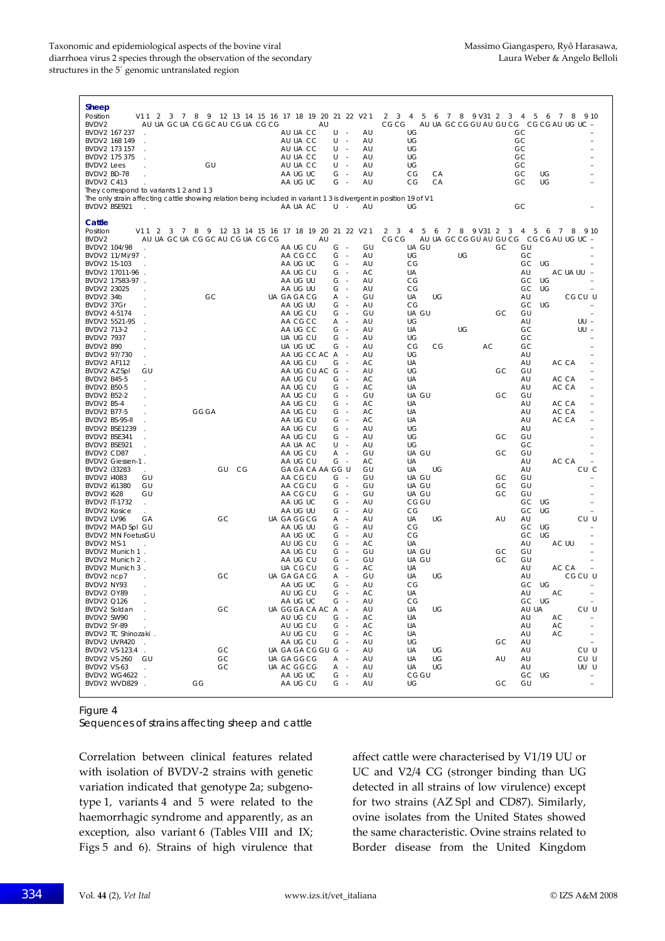#### Taxonomic and epidemiological aspects of the bovine viral Massimo Giangaspero, Ryô Harasawa, diarrhoea virus 2 species through the observation of the secondary **Laura Weber & Angelo Belloli** structures in the 5´ genomic untranslated region

| Sheep<br>Position<br>V112<br>BVDV2                           | AU UA GC UA CG GC AU CG UA CG CG | 3 7 8 9 12 13 14 15 16 17 18 19 20 21 22 V21<br>AU                                                                                                 | $2 \quad 3$<br>6 7 8 9 V31 2<br>$\overline{4}$<br>5<br>CG CG<br>AU UA GC CG GU AU GU CG | $\overline{7}$<br>9 10<br>3<br>4<br>5 6<br>8<br>CGCGAU UG UC |
|--------------------------------------------------------------|----------------------------------|----------------------------------------------------------------------------------------------------------------------------------------------------|-----------------------------------------------------------------------------------------|--------------------------------------------------------------|
| BVDV2 167 237<br>BVDV2 168 149<br>÷.<br>BVDV2 173 157        |                                  | AU UA CC<br>U<br>AU<br>AU UA CC<br>U<br>AU<br>٠.<br>AU UA CC<br>AU<br>U<br>$\sim$                                                                  | UG<br>UG<br>UG                                                                          | GC<br>GC<br>GC                                               |
| BVDV2 175 375<br><b>BVDV2</b> Lees<br>BVDV2 BD-78            | GU                               | AU UA CC<br>U<br>AU<br>AU UA CC<br>U<br>AU<br>$\sim$<br>AA UG UC<br>G<br>AU<br>$\sim$<br>$\sim$                                                    | UG<br>UG<br>CA<br>CG                                                                    | GC<br>GC<br>GC<br>UG                                         |
| <b>BVDV2 C413</b><br>They correspond to variants 1 2 and 1 3 |                                  | AA UG UC<br>G<br>AU                                                                                                                                | CG<br>CA                                                                                | GC<br>UG                                                     |
| BVDV2 BSE921<br>$\mathbf{r}$                                 |                                  | The only strain affecting cattle showing relation being included in variant 1 3 is divergent in position 19 of V1<br>AA UA AC<br>U<br>AU<br>$\sim$ | UG                                                                                      | GC                                                           |
| Cattle<br>Position<br>V11 2 3 7                              | 89                               | 12 13 14 15 16 17 18 19 20 21 22 V2 1                                                                                                              | 2 <sup>3</sup><br>6 7 8 9 V31 2 3<br>4<br>5                                             | 5<br>6<br>4<br>$\overline{7}$<br>8<br>9 10                   |
| BVDV2<br>BVDV2 104/98                                        | AU UA GC UA CG GC AU CG UA CG CG | AU<br>AA UG CU<br>GU<br>G<br>$\sim$                                                                                                                | CG CG<br>UA GU<br>GC                                                                    | AU UA GC CG GU AU GU CG CG CG AU UG UC -<br>GU               |
| BVDV2 11/Mi/97 .<br>BVDV2 15-103                             |                                  | AA CG CC<br>G<br>AU<br>$\sim$<br>AA UG UC<br>G<br>AU<br>$\sim$                                                                                     | UG<br>UG<br>СG                                                                          | GC<br>GC<br>UG                                               |
| BVDV2 17011-96                                               |                                  | AA UG CU<br>$G -$<br>АC                                                                                                                            | UA                                                                                      | AU<br>AC UA UU<br>- 1                                        |
| BVDV2 17583-97 .                                             |                                  | AA UG UU<br>G<br>AU<br>$\sim$                                                                                                                      | СG                                                                                      | GC<br>UG                                                     |
| BVDV2 23025<br>BVDV2 34b                                     | GC                               | AA UG UU<br>AU<br>G<br>$\sim$<br>UA GA GA CG<br>GU<br>A<br>$\sim$                                                                                  | СG<br>UA<br>UG                                                                          | GC<br>UG<br>AU<br>CGCU U                                     |
| BVDV2 37Gr                                                   |                                  | AA UG UU<br>G<br>AU<br>$\sim$                                                                                                                      | CG                                                                                      | GC<br>UG                                                     |
| BVDV2 4-5174<br>BVDV2 5521-95                                |                                  | AA UG CU<br>GU<br>G<br>$\sim$<br>AA CG CC<br>Α<br>AU<br>$\sim$                                                                                     | UA GU<br>GC<br>UG                                                                       | GU<br>AU<br>$UU -$                                           |
| BVDV2 713-2                                                  |                                  | AA UG CC<br>G<br>$\sim$<br>AU                                                                                                                      | UG<br>UA                                                                                | GC<br>$UU -$                                                 |
| BVDV2 7937<br><b>BVDV2 890</b>                               |                                  | UA UG CU<br>G<br>AU<br>$\sim$<br>UA UG UC<br>G<br>AU<br>$\sim$                                                                                     | UG<br>CG<br>AC<br>СG                                                                    | GC<br>GC                                                     |
| BVDV2 97/730                                                 |                                  | AA UG CC AC A<br>AU<br>÷.                                                                                                                          | UG                                                                                      | AU                                                           |
| BVDV2 AF112                                                  |                                  | AA UG CU<br>G<br>AC<br>$\sim$<br>AU                                                                                                                | UA                                                                                      | AU<br>AC CA                                                  |
| BVDV2 AZ Spl<br>GU<br>BVDV2 B45-5                            |                                  | AA UG CU AC G<br>AA UG CU<br>G<br>AC<br>$\sim$                                                                                                     | UG<br>GC<br>UA                                                                          | GU<br>AU<br>AC CA<br>$\overline{\phantom{0}}$                |
| BVDV2 B50-5                                                  |                                  | AA UG CU<br>G<br>AC<br>$\sim$                                                                                                                      | UA                                                                                      | AU<br>AC CA<br>$\overline{a}$                                |
| BVDV2 B52-2<br>BVDV2 B5-4                                    |                                  | GU<br>AA UG CU<br>G<br>$\sim$<br>AA UG CU<br>$\sim$<br>АC<br>G                                                                                     | UA GU<br>GC<br>UA                                                                       | GU<br>AC CA<br>AU<br>$\overline{\phantom{0}}$                |
| BVDV2 B77-5                                                  | <b>GGGA</b>                      | AA UG CU<br>G<br>АC<br>$\sim$                                                                                                                      | UA                                                                                      | AC CA<br>AU<br>$\overline{a}$                                |
| BVDV2 BS-95-II<br>BVDV2 BSE1239                              |                                  | AA UG CU<br>AC<br>G<br>$\sim$<br>AA UG CU<br>AU<br>G<br>$\sim$                                                                                     | UA<br>UG                                                                                | AU<br>AC CA<br>AU                                            |
| BVDV2 BSE341                                                 |                                  | AA UG CU<br>AU<br>G<br>$\sim$                                                                                                                      | UG<br>GC                                                                                | GU                                                           |
| BVDV2 BSE921<br>BVDV2 CD87                                   |                                  | AA UA AC<br>U<br>AU<br>$\sim$<br>AA UG CU<br>Α<br>GU<br>÷.                                                                                         | UG<br>UA GU<br>GC                                                                       | GC<br>GU                                                     |
| BVDV2 Giessen-1.                                             |                                  | AA UG CU<br>G<br>AC<br>$\sim$                                                                                                                      | UA                                                                                      | AU<br>AC CA                                                  |
| BVDV2 i33283                                                 | GU<br>CG                         | GA GA CA AA GG U<br>GU                                                                                                                             | UA<br>UG                                                                                | AU<br>CU C                                                   |
| <b>BVDV2 i4083</b><br>GU<br>GU<br>BVDV2 i61380               |                                  | $G -$<br>AA CG CU<br>GU<br>G<br>GU<br>AA CG CU<br>$\sim$                                                                                           | UA GU<br>GC<br>UA GU<br>GC                                                              | GU<br>GU                                                     |
| <b>BVDV2 1628</b><br>GU                                      |                                  | AA CG CU<br>G<br>$\sim$<br>GU                                                                                                                      | UA GU<br>GC                                                                             | GU                                                           |
| BVDV2 IT-1732<br>$\sim$<br><b>BVDV2 Kosice</b><br>$\sim$     |                                  | AU<br>AA UG UC<br>G<br>$\sim$<br>AA UG UU<br>G<br>$\sim$<br>AU                                                                                     | CG GU<br>СG                                                                             | GC<br>UG<br>GC<br>UG                                         |
| BVDV2 LV96<br>GА                                             | GC                               | UA GA GG CG<br>Α<br>AU<br>٠.                                                                                                                       | UA<br>UG<br>AU                                                                          | CU U<br>AU                                                   |
| BVDV2 MAD Spl GU<br><b>BVDV2 MN FoetusGU</b>                 |                                  | AA UG UU<br>AU<br>G<br>$\sim$<br>AA UG UC<br>G<br>AU<br>$\sim$                                                                                     | СG<br>CG                                                                                | UG<br>GC<br>GC<br>UG                                         |
| BVDV2 MS-1                                                   |                                  | AU UG CU<br>AC<br>G<br>$\sim$                                                                                                                      | UA                                                                                      | AU<br>AC UU                                                  |
| BVDV2 Munich 1.<br>BVDV2 Munich 2.                           |                                  | AA UG CU<br>G<br>$\sim$<br>GU<br>AA UG CU<br>G<br>GU<br>$\sim$                                                                                     | UA GU<br>GC<br>UA GU<br>GC                                                              | GU<br>GU                                                     |
| BVDV2 Munich 3.                                              |                                  | AC<br>UA CG CU<br>G<br>$\sim$                                                                                                                      | UA                                                                                      | AC CA<br>AU                                                  |
| BVDV2 ncp7                                                   | GC                               | GU<br>UA GA GA CG<br>A -                                                                                                                           | UA<br>UG                                                                                | AU<br>CGCU U                                                 |
| BVDV2 NY93<br>BVDV2 OY89<br>$\cdot$                          |                                  | AA UG UC<br>G<br>$\sim$<br>AU<br>AU UG CU<br>G<br>AC<br>$\sim$                                                                                     | CG<br>UA                                                                                | GC<br>UG<br>AU<br>AC                                         |
| <b>BVDV2 Q126</b>                                            |                                  | AA UG UC<br>G<br>AU                                                                                                                                | CG                                                                                      | GC UG                                                        |
| BVDV2 Soldan<br>BVDV2 SW90                                   | GC                               | UA GGGA CA AC A -<br>AU<br>AU UG CU<br>$G -$<br>AC                                                                                                 | UA<br>UG<br>UA                                                                          | CU U<br>AU UA<br>AU<br>AC<br>÷                               |
| BVDV2 SY-89                                                  |                                  | AU UG CU<br>$G -$<br>АC                                                                                                                            | UA                                                                                      | AU<br>AC                                                     |
| BVDV2 TC Shinozaki .<br>BVDV2 UVR420<br>$\sim$               |                                  | AU UG CU<br>G -<br>АC<br>AA UG CU<br>$G -$<br>AU                                                                                                   | UA<br>UG<br>GC                                                                          | AU<br>АC<br>$\overline{\phantom{0}}$<br>AU                   |
| BVDV2 VS-123.4 .                                             | GC                               | UA GA GA CG GU G -<br>AU                                                                                                                           | UA<br>UG                                                                                | CU U<br>AU                                                   |
| BVDV2 VS-260<br>GU<br>BVDV2 VS-63<br>$\mathcal{L}$           | GC<br>GC                         | A -<br>UA GA GG CG<br>AU<br>UA AC GGCG<br>A -<br>AU                                                                                                | UG<br>AU<br>UA<br>UG<br>UA                                                              | CU U<br>AU<br>UU U<br>AU                                     |
| BVDV2 WG4622 .                                               |                                  | AA UG UC<br>$G -$<br>AU                                                                                                                            | CG GU                                                                                   | GC<br>UG<br>$\qquad \qquad -$                                |
| BVDV2 WVD829 .                                               | GG                               | AA UG CU<br>$G -$<br>AU                                                                                                                            | UG<br>GC                                                                                | GU<br>$\overline{a}$                                         |

Figure 4

Sequences of strains affecting sheep and cattle

Correlation between clinical features related with isolation of BVDV‐2 strains with genetic variation indicated that genotype 2a; subgeno‐ type 1, variants 4 and 5 were related to the haemorrhagic syndrome and apparently, as an exception, also variant 6 (Tables VIII and IX; Figs 5 and 6). Strains of high virulence that affect cattle were characterised by V1/19 UU or UC and V2/4 CG (stronger binding than UG detected in all strains of low virulence) except for two strains (AZ Spl and CD87). Similarly, ovine isolates from the United States showed the same characteristic. Ovine strains related to Border disease from the United Kingdom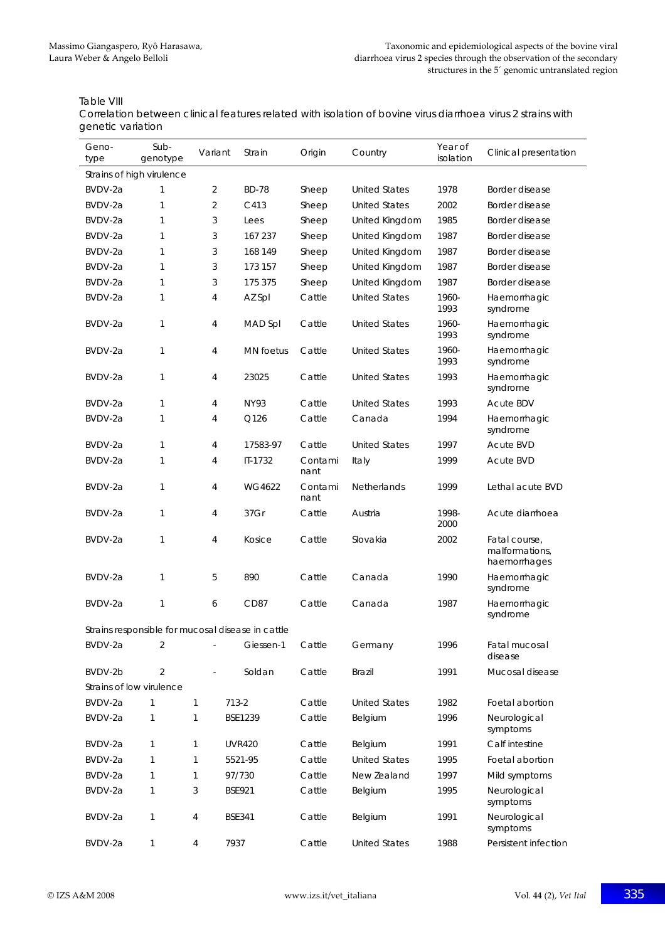Table VIII

Correlation between clinical features related with isolation of bovine virus diarrhoea virus 2 strains with genetic variation

| Geno-<br>type | Sub-<br>genotype                                  | Variant        | Strain           | Origin          | Country              | Year of<br>isolation | Clinical presentation                           |
|---------------|---------------------------------------------------|----------------|------------------|-----------------|----------------------|----------------------|-------------------------------------------------|
|               | Strains of high virulence                         |                |                  |                 |                      |                      |                                                 |
| BVDV-2a       | 1                                                 | 2              | <b>BD-78</b>     | Sheep           | <b>United States</b> | 1978                 | Border disease                                  |
| BVDV-2a       | 1                                                 | $\overline{2}$ | C413             | Sheep           | <b>United States</b> | 2002                 | Border disease                                  |
| BVDV-2a       | 1                                                 | 3              | Lees             | Sheep           | United Kingdom       | 1985                 | Border disease                                  |
| BVDV-2a       | 1                                                 | 3              | 167 237          | Sheep           | United Kingdom       | 1987                 | Border disease                                  |
| BVDV-2a       | 1                                                 | 3              | 168 149          | Sheep           | United Kingdom       | 1987                 | Border disease                                  |
| BVDV-2a       | 1                                                 | 3              | 173 157          | Sheep           | United Kingdom       | 1987                 | Border disease                                  |
| BVDV-2a       | 1                                                 | 3              | 175 375          | Sheep           | United Kingdom       | 1987                 | Border disease                                  |
| BVDV-2a       | 1                                                 | 4              | AZ Spl           | Cattle          | <b>United States</b> | 1960-<br>1993        | Haemorrhagic<br>syndrome                        |
| BVDV-2a       | 1                                                 | 4              | MAD Spl          | Cattle          | <b>United States</b> | 1960-<br>1993        | Haemorrhagic<br>syndrome                        |
| BVDV-2a       | 1                                                 | 4              | <b>MN</b> foetus | Cattle          | <b>United States</b> | 1960-<br>1993        | Haemorrhagic<br>syndrome                        |
| BVDV-2a       | 1                                                 | 4              | 23025            | Cattle          | <b>United States</b> | 1993                 | Haemorrhagic<br>syndrome                        |
| BVDV-2a       | 1                                                 | 4              | NY93             | Cattle          | <b>United States</b> | 1993                 | <b>Acute BDV</b>                                |
| BVDV-2a       | 1                                                 | 4              | Q126             | Cattle          | Canada               | 1994                 | Haemorrhagic<br>syndrome                        |
| BVDV-2a       | 1                                                 | 4              | 17583-97         | Cattle          | <b>United States</b> | 1997                 | Acute BVD                                       |
| BVDV-2a       | 1                                                 | 4              | IT-1732          | Contami<br>nant | Italy                | 1999                 | <b>Acute BVD</b>                                |
| BVDV-2a       | 1                                                 | 4              | WG4622           | Contami<br>nant | Netherlands          | 1999                 | Lethal acute BVD                                |
| BVDV-2a       | 1                                                 | 4              | 37Gr             | Cattle          | Austria              | 1998-<br>2000        | Acute diarrhoea                                 |
| BVDV-2a       | 1                                                 | 4              | Kosice           | Cattle          | Slovakia             | 2002                 | Fatal course,<br>malformations,<br>haemorrhages |
| BVDV-2a       | 1                                                 | 5              | 890              | Cattle          | Canada               | 1990                 | Haemorrhagic<br>syndrome                        |
| BVDV-2a       | 1                                                 | 6              | CD <sub>87</sub> | Cattle          | Canada               | 1987                 | Haemorrhagic<br>syndrome                        |
|               | Strains responsible for mucosal disease in cattle |                |                  |                 |                      |                      |                                                 |
| BVDV-2a       | 2                                                 |                | Giessen-1        | Cattle          | Germany              | 1996                 | Fatal mucosal<br>disease                        |
| BVDV-2b       | $\overline{2}$                                    |                | Soldan           | Cattle          | <b>Brazil</b>        | 1991                 | Mucosal disease                                 |
|               | Strains of low virulence                          |                |                  |                 |                      |                      |                                                 |
| BVDV-2a       | 1                                                 | 1              | $713 - 2$        | Cattle          | <b>United States</b> | 1982                 | Foetal abortion                                 |
| BVDV-2a       | 1                                                 | 1              | BSE1239          | Cattle          | Belgium              | 1996                 | Neurological<br>symptoms                        |
| BVDV-2a       | 1                                                 | 1              | <b>UVR420</b>    | Cattle          | Belgium              | 1991                 | Calf intestine                                  |
| BVDV-2a       | $\mathbf{1}$                                      | 1              | 5521-95          | Cattle          | <b>United States</b> | 1995                 | Foetal abortion                                 |
| BVDV-2a       | $\mathbf{1}$                                      | 1              | 97/730           | Cattle          | New Zealand          | 1997                 | Mild symptoms                                   |
| BVDV-2a       | $\mathbf{1}$                                      | 3              | <b>BSE921</b>    | Cattle          | Belgium              | 1995                 | Neurological<br>symptoms                        |
| BVDV-2a       | 1                                                 | 4              | <b>BSE341</b>    | Cattle          | Belgium              | 1991                 | Neurological<br>symptoms                        |
| BVDV-2a       | 1                                                 | 4              | 7937             | Cattle          | <b>United States</b> | 1988                 | Persistent infection                            |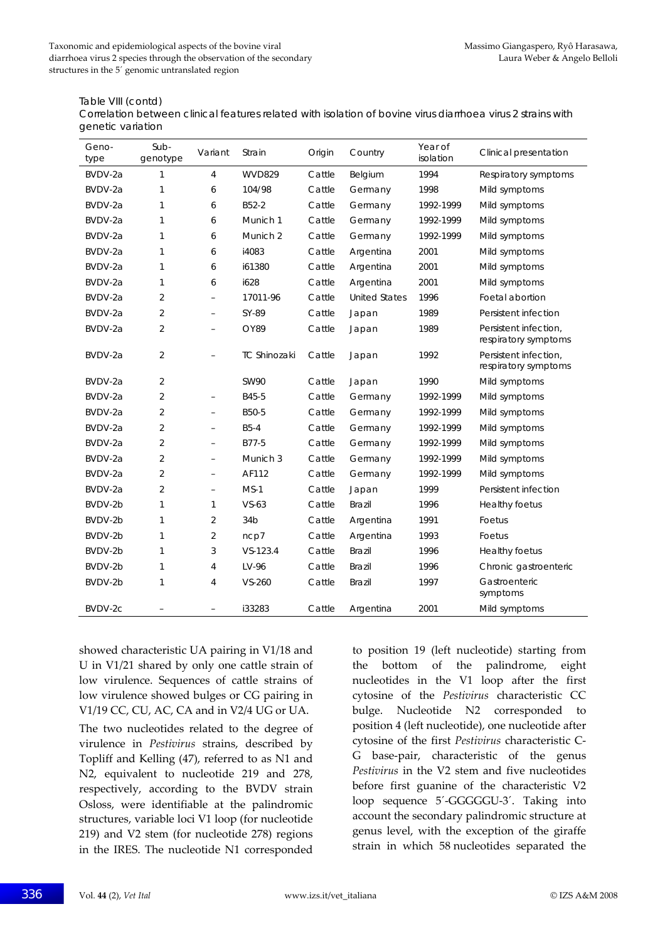#### Table VIII (contd)

Correlation between clinical features related with isolation of bovine virus diarrhoea virus 2 strains with genetic variation

| Geno-<br>type | Sub-<br>genotype | Variant                  | Strain              | Origin | Country              | Year of<br>isolation | Clinical presentation                         |
|---------------|------------------|--------------------------|---------------------|--------|----------------------|----------------------|-----------------------------------------------|
| BVDV-2a       | 1                | $\overline{4}$           | <b>WVD829</b>       | Cattle | Belgium              | 1994                 | Respiratory symptoms                          |
| BVDV-2a       | 1                | 6                        | 104/98              | Cattle | Germany              | 1998                 | Mild symptoms                                 |
| BVDV-2a       | 1                | 6                        | B52-2               | Cattle | Germany              | 1992-1999            | Mild symptoms                                 |
| BVDV-2a       | 1                | 6                        | Munich 1            | Cattle | Germany              | 1992-1999            | Mild symptoms                                 |
| BVDV-2a       | 1                | 6                        | Munich 2            | Cattle | Germany              | 1992-1999            | Mild symptoms                                 |
| BVDV-2a       | 1                | 6                        | i4083               | Cattle | Argentina            | 2001                 | Mild symptoms                                 |
| BVDV-2a       | 1                | 6                        | i61380              | Cattle | Argentina            | 2001                 | Mild symptoms                                 |
| BVDV-2a       | 1                | 6                        | i628                | Cattle | Argentina            | 2001                 | Mild symptoms                                 |
| BVDV-2a       | $\overline{2}$   | $\qquad \qquad -$        | 17011-96            | Cattle | <b>United States</b> | 1996                 | Foetal abortion                               |
| BVDV-2a       | $\overline{2}$   | $\equiv$                 | SY-89               | Cattle | Japan                | 1989                 | Persistent infection                          |
| BVDV-2a       | $\overline{2}$   | $\equiv$                 | OY89                | Cattle | Japan                | 1989                 | Persistent infection,<br>respiratory symptoms |
| BVDV-2a       | $\overline{2}$   | $\overline{\phantom{0}}$ | <b>TC Shinozaki</b> | Cattle | Japan                | 1992                 | Persistent infection.<br>respiratory symptoms |
| BVDV-2a       | $\overline{2}$   |                          | <b>SW90</b>         | Cattle | Japan                | 1990                 | Mild symptoms                                 |
| BVDV-2a       | 2                | $\qquad \qquad -$        | B45-5               | Cattle | Germany              | 1992-1999            | Mild symptoms                                 |
| BVDV-2a       | $\overline{2}$   | $\equiv$                 | B50-5               | Cattle | Germany              | 1992-1999            | Mild symptoms                                 |
| BVDV-2a       | $\overline{2}$   | $\equiv$                 | $B5-4$              | Cattle | Germany              | 1992-1999            | Mild symptoms                                 |
| BVDV-2a       | $\overline{2}$   | $\equiv$                 | B77-5               | Cattle | Germany              | 1992-1999            | Mild symptoms                                 |
| BVDV-2a       | $\overline{2}$   | $\qquad \qquad -$        | Munich 3            | Cattle | Germany              | 1992-1999            | Mild symptoms                                 |
| BVDV-2a       | $\overline{2}$   | $\overline{\phantom{a}}$ | AF112               | Cattle | Germany              | 1992-1999            | Mild symptoms                                 |
| BVDV-2a       | $\overline{2}$   | $\equiv$                 | $MS-1$              | Cattle | Japan                | 1999                 | Persistent infection                          |
| BVDV-2b       | 1                | $\mathbf{1}$             | $VS-63$             | Cattle | <b>Brazil</b>        | 1996                 | <b>Healthy foetus</b>                         |
| BVDV-2b       | $\mathbf{1}$     | $\overline{2}$           | 34 <sub>b</sub>     | Cattle | Argentina            | 1991                 | Foetus                                        |
| BVDV-2b       | 1                | $\overline{2}$           | ncp7                | Cattle | Argentina            | 1993                 | Foetus                                        |
| BVDV-2b       | 1                | 3                        | $VS - 123.4$        | Cattle | <b>Brazil</b>        | 1996                 | <b>Healthy foetus</b>                         |
| BVDV-2b       | 1                | 4                        | LV-96               | Cattle | <b>Brazil</b>        | 1996                 | Chronic gastroenteric                         |
| BVDV-2b       | 1                | 4                        | VS-260              | Cattle | <b>Brazil</b>        | 1997                 | Gastroenteric<br>symptoms                     |
| BVDV-2c       |                  | ÷,                       | i33283              | Cattle | Argentina            | 2001                 | Mild symptoms                                 |

showed characteristic UA pairing in V1/18 and U in V1/21 shared by only one cattle strain of low virulence. Sequences of cattle strains of low virulence showed bulges or CG pairing in V1/19 CC, CU, AC, CA and in V2/4 UG or UA.

The two nucleotides related to the degree of virulence in *Pestivirus* strains, described by Topliff and Kelling (47), referred to as N1 and N2, equivalent to nucleotide 219 and 278, respectively, according to the BVDV strain Osloss, were identifiable at the palindromic structures, variable loci V1 loop (for nucleotide 219) and V2 stem (for nucleotide 278) regions in the IRES. The nucleotide N1 corresponded to position 19 (left nucleotide) starting from the bottom of the palindrome, eight nucleotides in the V1 loop after the first cytosine of the *Pestivirus* characteristic CC bulge. Nucleotide N2 corresponded to position 4 (left nucleotide), one nucleotide after cytosine of the first *Pestivirus* characteristic C‐ G base‐pair, characteristic of the genus *Pestivirus* in the V2 stem and five nucleotides before first guanine of the characteristic V2 loop sequence 5'-GGGGGU-3'. Taking into account the secondary palindromic structure at genus level, with the exception of the giraffe strain in which 58 nucleotides separated the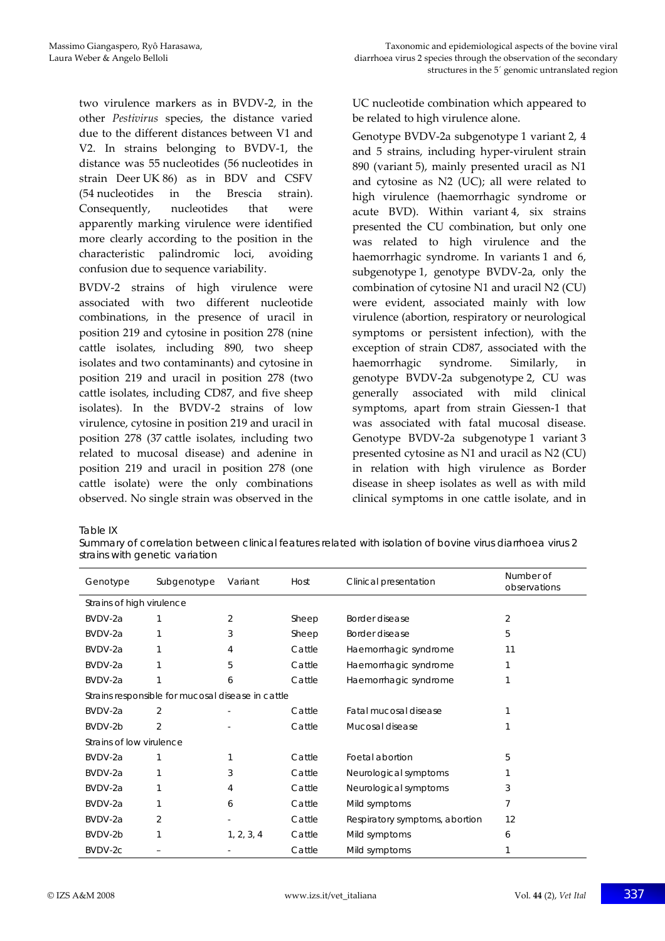two virulence markers as in BVDV‐2, in the other *Pestivirus* species, the distance varied due to the different distances between V1 and V2. In strains belonging to BVDV‐1, the distance was 55 nucleotides (56 nucleotides in strain Deer UK 86) as in BDV and CSFV (54 nucleotides in the Brescia strain). Consequently, nucleotides that were apparently marking virulence were identified more clearly according to the position in the characteristic palindromic loci, avoiding confusion due to sequence variability.

BVDV‐2 strains of high virulence were associated with two different nucleotide combinations, in the presence of uracil in position 219 and cytosine in position 278 (nine cattle isolates, including 890, two sheep isolates and two contaminants) and cytosine in position 219 and uracil in position 278 (two cattle isolates, including CD87, and five sheep isolates). In the BVDV‐2 strains of low virulence, cytosine in position 219 and uracil in position 278 (37 cattle isolates, including two related to mucosal disease) and adenine in position 219 and uracil in position 278 (one cattle isolate) were the only combinations observed. No single strain was observed in the

UC nucleotide combination which appeared to be related to high virulence alone.

Genotype BVDV‐2a subgenotype 1 variant 2, 4 and 5 strains, including hyper‐virulent strain 890 (variant 5), mainly presented uracil as N1 and cytosine as N2 (UC); all were related to high virulence (haemorrhagic syndrome or acute BVD). Within variant 4, six strains presented the CU combination, but only one was related to high virulence and the haemorrhagic syndrome. In variants 1 and 6, subgenotype 1, genotype BVDV-2a, only the combination of cytosine N1 and uracil N2 (CU) were evident, associated mainly with low virulence (abortion, respiratory or neurological symptoms or persistent infection), with the exception of strain CD87, associated with the haemorrhagic syndrome. Similarly, in genotype BVDV‐2a subgenotype 2, CU was generally associated with mild clinical symptoms, apart from strain Giessen-1 that was associated with fatal mucosal disease. Genotype BVDV-2a subgenotype 1 variant 3 presented cytosine as N1 and uracil as N2 (CU) in relation with high virulence as Border disease in sheep isolates as well as with mild clinical symptoms in one cattle isolate, and in

Table IX

Summary of correlation between clinical features related with isolation of bovine virus diarrhoea virus 2 strains with genetic variation

| Genotype                                          | Subgenotype | Variant    | Host   | Clinical presentation          | Number of<br>observations |  |  |  |  |  |  |
|---------------------------------------------------|-------------|------------|--------|--------------------------------|---------------------------|--|--|--|--|--|--|
| Strains of high virulence                         |             |            |        |                                |                           |  |  |  |  |  |  |
| BVDV-2a                                           |             | 2          | Sheep  | Border disease                 | 2                         |  |  |  |  |  |  |
| BVDV-2a                                           |             | 3          | Sheep  | Border disease                 | 5                         |  |  |  |  |  |  |
| BVDV-2a                                           |             | 4          | Cattle | Haemorrhagic syndrome          | 11                        |  |  |  |  |  |  |
| BVDV-2a                                           |             | 5          | Cattle | Haemorrhagic syndrome          |                           |  |  |  |  |  |  |
| BVDV-2a                                           |             | 6          | Cattle | Haemorrhagic syndrome          |                           |  |  |  |  |  |  |
| Strains responsible for mucosal disease in cattle |             |            |        |                                |                           |  |  |  |  |  |  |
| BVDV-2a                                           | 2           |            | Cattle | Fatal mucosal disease          |                           |  |  |  |  |  |  |
| BVDV-2b                                           | 2           |            | Cattle | Mucosal disease                |                           |  |  |  |  |  |  |
| Strains of low virulence                          |             |            |        |                                |                           |  |  |  |  |  |  |
| BVDV-2a                                           |             |            | Cattle | Foetal abortion                | 5.                        |  |  |  |  |  |  |
| BVDV-2a                                           |             | 3          | Cattle | Neurological symptoms          |                           |  |  |  |  |  |  |
| BVDV-2a                                           |             | 4          | Cattle | Neurological symptoms          | 3                         |  |  |  |  |  |  |
| BVDV-2a                                           |             | 6          | Cattle | Mild symptoms                  |                           |  |  |  |  |  |  |
| BVDV-2a                                           | 2           |            | Cattle | Respiratory symptoms, abortion | 12                        |  |  |  |  |  |  |
| BVDV-2b                                           |             | 1, 2, 3, 4 | Cattle | Mild symptoms                  | 6                         |  |  |  |  |  |  |
| BVDV-2c                                           |             |            | Cattle | Mild symptoms                  |                           |  |  |  |  |  |  |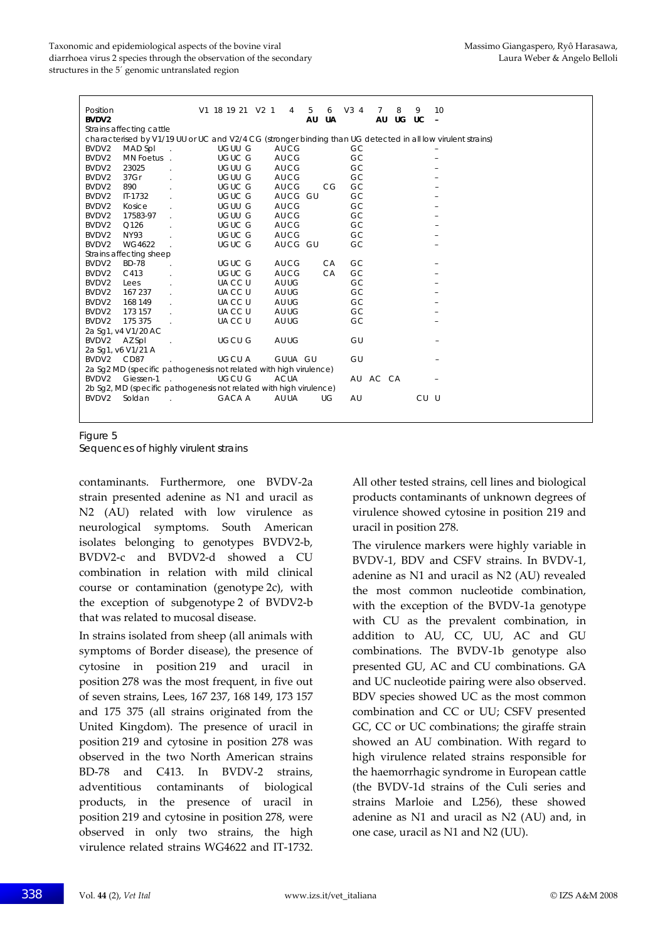| Position<br>BVDV2                                                                                           |                         |                |  | V1 18 19 21 V2 1 |               |  | 4           | 5 | AU | 6<br>UA | V34      | 7<br>AU | 8<br>UG UC | 9    | 10 |
|-------------------------------------------------------------------------------------------------------------|-------------------------|----------------|--|------------------|---------------|--|-------------|---|----|---------|----------|---------|------------|------|----|
| Strains affecting cattle                                                                                    |                         |                |  |                  |               |  |             |   |    |         |          |         |            |      |    |
| characterised by V1/19 UU or UC and V2/4 CG (stronger binding than UG detected in all low virulent strains) |                         |                |  |                  |               |  |             |   |    |         |          |         |            |      |    |
| BVDV <sub>2</sub>                                                                                           | MAD Spl                 | $\mathbb{R}^2$ |  |                  | UGUU G        |  | AU CG       |   |    |         | GC       |         |            |      |    |
| BVDV2                                                                                                       | MN Foetus.              |                |  |                  | UGUC G        |  | AU CG       |   |    |         | GC       |         |            |      |    |
| BVDV2                                                                                                       | 23025                   |                |  |                  | UGUU G        |  | AU CG       |   |    |         | GC       |         |            |      |    |
| BVDV2                                                                                                       | 37Gr                    |                |  |                  | UGUU G        |  | AU CG       |   |    |         | GC       |         |            |      |    |
| BVDV2                                                                                                       | 890                     |                |  |                  | <b>UGUC G</b> |  | AU CG       |   |    | CG      | GC       |         |            |      |    |
| BVDV2                                                                                                       | IT-1732                 |                |  |                  | UGUC G        |  | AUCG GU     |   |    |         | GC       |         |            |      |    |
| BVDV2                                                                                                       | Kosice                  |                |  |                  | UGUU G        |  | AU CG       |   |    |         | GC       |         |            |      |    |
| BVDV2                                                                                                       | 17583-97                |                |  |                  | UGUU G        |  | AU CG       |   |    |         | GC       |         |            |      |    |
| BVDV2                                                                                                       | Q126                    |                |  |                  | UGUC G        |  | AU CG       |   |    |         | GC       |         |            |      |    |
| BVDV2                                                                                                       | <b>NY93</b>             |                |  |                  | UGUC G        |  | AU CG       |   |    |         | GC       |         |            |      |    |
| BVDV2                                                                                                       | WG4622                  |                |  |                  | UGUC G        |  | AUCG GU     |   |    |         | GC       |         |            |      |    |
|                                                                                                             | Strains affecting sheep |                |  |                  |               |  |             |   |    |         |          |         |            |      |    |
| BVDV2                                                                                                       | <b>BD-78</b>            |                |  |                  | UGUC G        |  | AU CG       |   |    | CA      | GC       |         |            |      |    |
| BVDV2                                                                                                       | C413                    | ÷.             |  |                  | UGUC G        |  | AU CG       |   |    | CA      | GC       |         |            |      |    |
| BVDV2                                                                                                       | Lees                    |                |  |                  | UA CC U       |  | AU UG       |   |    |         | GC       |         |            |      |    |
| BVDV2                                                                                                       | 167 237                 |                |  |                  | UACC U        |  | AU UG       |   |    |         | GC       |         |            |      |    |
| BVDV2                                                                                                       | 168 149                 |                |  |                  | UACC U        |  | AU UG       |   |    |         | GC       |         |            |      |    |
| BVDV2                                                                                                       | 173 157                 |                |  |                  | UACC U        |  | AU UG       |   |    |         | GC       |         |            |      |    |
| BVDV2                                                                                                       | 175 375                 |                |  |                  | UACC U        |  | AU UG       |   |    |         | GC       |         |            |      |    |
|                                                                                                             | 2a Sg1, v4 V1/20 AC     |                |  |                  |               |  |             |   |    |         |          |         |            |      |    |
| BVDV2                                                                                                       | AZ Spl                  |                |  |                  | UGCU G        |  | AU UG       |   |    |         | GU       |         |            |      |    |
|                                                                                                             | 2a Sg1, v6 V1/21 A      |                |  |                  |               |  |             |   |    |         |          |         |            |      |    |
| BVDV2                                                                                                       | CD87                    |                |  |                  | <b>UGCUA</b>  |  | GUUA GU     |   |    |         | GU       |         |            |      |    |
| 2a Sg2 MD (specific pathogenesis not related with high virulence)                                           |                         |                |  |                  |               |  |             |   |    |         |          |         |            |      |    |
| BVDV2                                                                                                       | Giessen-1               |                |  |                  | <b>UGCU G</b> |  | <b>ACUA</b> |   |    |         | AU AC CA |         |            |      |    |
| 2b Sg2, MD (specific pathogenesis not related with high virulence)                                          |                         |                |  |                  |               |  |             |   |    |         |          |         |            |      |    |
| BVDV2                                                                                                       | Soldan                  |                |  |                  | <b>GACA A</b> |  | AU UA       |   |    | UG      | AU       |         |            | CU U |    |
|                                                                                                             |                         |                |  |                  |               |  |             |   |    |         |          |         |            |      |    |
|                                                                                                             |                         |                |  |                  |               |  |             |   |    |         |          |         |            |      |    |

Figure 5

Sequences of highly virulent strains

contaminants. Furthermore, one BVDV‐2a strain presented adenine as N1 and uracil as N2 (AU) related with low virulence as neurological symptoms. South American isolates belonging to genotypes BVDV2‐b, BVDV2‐c and BVDV2‐d showed a CU combination in relation with mild clinical course or contamination (genotype 2c), with the exception of subgenotype 2 of BVDV2‐b that was related to mucosal disease.

In strains isolated from sheep (all animals with symptoms of Border disease), the presence of cytosine in position 219 and uracil in position 278 was the most frequent, in five out of seven strains, Lees, 167 237, 168 149, 173 157 and 175 375 (all strains originated from the United Kingdom). The presence of uracil in position 219 and cytosine in position 278 was observed in the two North American strains BD-78 and C413. In BVDV-2 strains, adventitious contaminants of biological products, in the presence of uracil in position 219 and cytosine in position 278, were observed in only two strains, the high virulence related strains WG4622 and IT‐1732. All other tested strains, cell lines and biological products contaminants of unknown degrees of virulence showed cytosine in position 219 and uracil in position 278.

The virulence markers were highly variable in BVDV‐1, BDV and CSFV strains. In BVDV‐1, adenine as N1 and uracil as N2 (AU) revealed the most common nucleotide combination, with the exception of the BVDV‐1a genotype with CU as the prevalent combination, in addition to AU, CC, UU, AC and GU combinations. The BVDV‐1b genotype also presented GU, AC and CU combinations. GA and UC nucleotide pairing were also observed. BDV species showed UC as the most common combination and CC or UU; CSFV presented GC, CC or UC combinations; the giraffe strain showed an AU combination. With regard to high virulence related strains responsible for the haemorrhagic syndrome in European cattle (the BVDV‐1d strains of the Culi series and strains Marloie and L256), these showed adenine as N1 and uracil as N2 (AU) and, in one case, uracil as N1 and N2 (UU).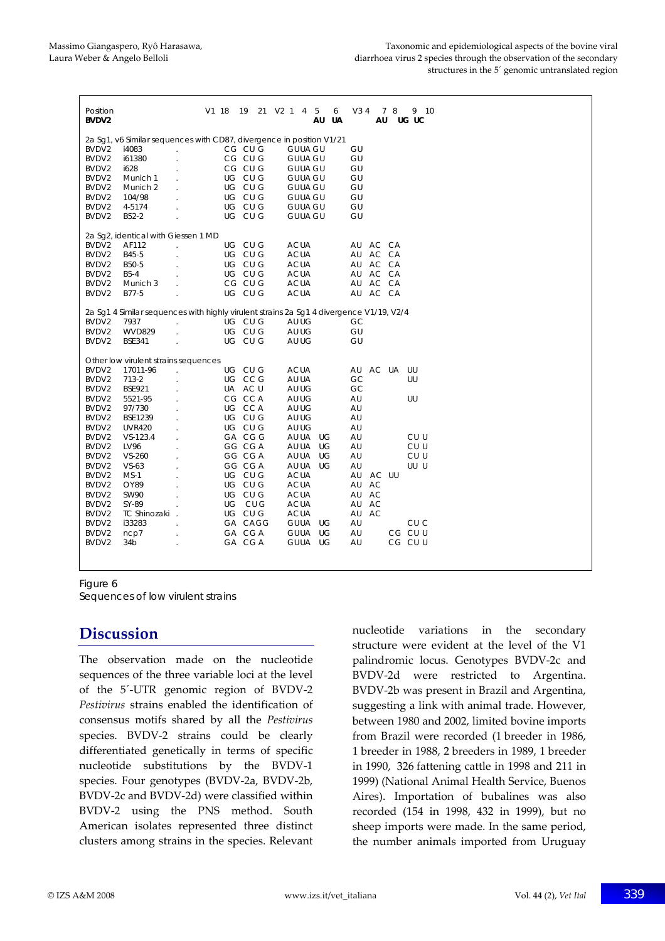| Position<br>BVDV <sub>2</sub>                                                                              |                                                                                         |                | V1 18 |         | 19 | 21 | V2 1 |                | 4 | 5<br>AU | 6<br>UA | V3 4 | AU        | 78 | 9 10<br>UG UC |  |
|------------------------------------------------------------------------------------------------------------|-----------------------------------------------------------------------------------------|----------------|-------|---------|----|----|------|----------------|---|---------|---------|------|-----------|----|---------------|--|
| 2a Sg1, v6 Similar sequences with CD87, divergence in position V1/21                                       |                                                                                         |                |       |         |    |    |      |                |   |         |         |      |           |    |               |  |
| BVDV <sub>2</sub>                                                                                          | i4083                                                                                   | l,             |       | CG CU G |    |    |      | <b>GUUA GU</b> |   |         |         | GU   |           |    |               |  |
| BVDV2                                                                                                      | i61380                                                                                  |                |       | CG CU G |    |    |      | <b>GUUA GU</b> |   |         |         | GU   |           |    |               |  |
| BVDV2                                                                                                      | i628                                                                                    |                |       | CG CU G |    |    |      | <b>GUUA GU</b> |   |         |         | GU   |           |    |               |  |
| BVDV2                                                                                                      | Munich 1                                                                                |                |       | UG CU G |    |    |      | <b>GUUA GU</b> |   |         |         | GU   |           |    |               |  |
| BVDV2                                                                                                      | Munich 2                                                                                |                |       | UG CU G |    |    |      | <b>GUUA GU</b> |   |         |         | GU   |           |    |               |  |
| BVDV2                                                                                                      | 104/98                                                                                  |                |       | UG CU G |    |    |      | <b>GUUA GU</b> |   |         |         | GU   |           |    |               |  |
| BVDV2                                                                                                      | 4-5174                                                                                  |                |       | UG CU G |    |    |      | <b>GUUA GU</b> |   |         |         | GU   |           |    |               |  |
| BVDV2                                                                                                      | B52-2                                                                                   |                |       | UG CU G |    |    |      | <b>GUUA GU</b> |   |         |         | GU   |           |    |               |  |
|                                                                                                            |                                                                                         |                |       |         |    |    |      |                |   |         |         |      |           |    |               |  |
| 2a Sq2, identical with Giessen 1 MD<br>AF112<br>UG CU G<br>BVDV <sub>2</sub><br><b>ACUA</b><br>AU<br>AC CA |                                                                                         |                |       |         |    |    |      |                |   |         |         |      |           |    |               |  |
|                                                                                                            |                                                                                         |                |       | UG CU G |    |    |      | <b>ACUA</b>    |   |         |         |      | AC CA     |    |               |  |
| BVDV2                                                                                                      | B45-5                                                                                   |                |       | UG CU G |    |    |      |                |   |         |         | AU   | AU AC CA  |    |               |  |
| BVDV2                                                                                                      | B50-5                                                                                   |                |       |         |    |    |      | <b>ACUA</b>    |   |         |         |      |           |    |               |  |
| BVDV2                                                                                                      | <b>B5-4</b>                                                                             | ÷              |       | UG CU G |    |    |      | <b>ACUA</b>    |   |         |         |      | AU AC CA  |    |               |  |
| BVDV2                                                                                                      | Munich 3                                                                                | $\overline{a}$ |       | CG CU G |    |    |      | <b>ACUA</b>    |   |         |         | AU   | AC CA     |    |               |  |
| BVDV2                                                                                                      | B77-5                                                                                   |                |       | UG CU G |    |    |      | <b>ACUA</b>    |   |         |         | AU   | AC CA     |    |               |  |
|                                                                                                            | 2a Sq1 4 Similar sequences with highly virulent strains 2a Sq1 4 divergence V1/19, V2/4 |                |       |         |    |    |      |                |   |         |         |      |           |    |               |  |
| BVDV2                                                                                                      | 7937                                                                                    | à.             |       | UG CU G |    |    |      | AU UG          |   |         |         | GC   |           |    |               |  |
| BVDV2                                                                                                      | <b>WVD829</b>                                                                           |                |       | UG CU G |    |    |      | AU UG          |   |         |         | GU   |           |    |               |  |
| BVDV2                                                                                                      | <b>BSE341</b>                                                                           | à.             |       | UG CU G |    |    |      | AU UG          |   |         |         | GU   |           |    |               |  |
|                                                                                                            | Other low virulent strains sequences                                                    |                |       |         |    |    |      |                |   |         |         |      |           |    |               |  |
| BVDV <sub>2</sub>                                                                                          | 17011-96                                                                                |                |       | UG CU G |    |    |      | <b>ACUA</b>    |   |         |         | AU   | AC UA     |    | UU            |  |
| BVDV <sub>2</sub>                                                                                          | 713-2                                                                                   |                |       | UG CCG  |    |    |      | AU UA          |   |         |         | GC   |           |    | UU            |  |
| BVDV2                                                                                                      | <b>BSE921</b>                                                                           | ÷.             |       | UA AC U |    |    |      | AU UG          |   |         |         | GC   |           |    |               |  |
| BVDV2                                                                                                      | 5521-95                                                                                 | ÷.             |       | CG CCA  |    |    |      | AU UG          |   |         |         | AU   |           |    | UU            |  |
| BVDV2                                                                                                      | 97/730                                                                                  | V.             |       | UG CCA  |    |    |      | AU UG          |   |         |         | AU   |           |    |               |  |
| BVDV2                                                                                                      | BSE1239                                                                                 | V.             |       | UG CU G |    |    |      | AU UG          |   |         |         | AU   |           |    |               |  |
| BVDV <sub>2</sub>                                                                                          | <b>UVR420</b>                                                                           |                |       | UG CU G |    |    |      | AU UG          |   |         |         | AU   |           |    |               |  |
| BVDV2                                                                                                      | $VS - 123.4$                                                                            | J.             |       | GA CGG  |    |    |      | AU UA UG       |   |         |         | AU   |           |    | CU U          |  |
| BVDV <sub>2</sub>                                                                                          | LV96                                                                                    |                |       | GG CGA  |    |    |      | AU UA          |   | UG      |         | AU   |           |    | CU U          |  |
|                                                                                                            |                                                                                         |                |       | GG CGA  |    |    |      |                |   |         |         |      |           |    | CU U          |  |
| BVDV2                                                                                                      | $VS - 260$                                                                              |                |       |         |    |    |      | AU UA          |   | UG      |         | AU   |           |    |               |  |
| BVDV2                                                                                                      | $VS-63$                                                                                 |                |       | GG CGA  |    |    |      | AU UA          |   | UG      |         | AU   |           |    | UU U          |  |
| BVDV2                                                                                                      | $MS-1$                                                                                  |                |       | UG CU G |    |    |      | <b>ACUA</b>    |   |         |         | AU   | AC UU     |    |               |  |
| BVDV2                                                                                                      | OY89                                                                                    |                |       | UG CU G |    |    |      | <b>ACUA</b>    |   |         |         | AU   | AC        |    |               |  |
| BVDV <sub>2</sub>                                                                                          | <b>SW90</b>                                                                             |                |       | UG CU G |    |    |      | <b>ACUA</b>    |   |         |         | AU   | AC        |    |               |  |
| BVDV <sub>2</sub>                                                                                          | SY-89                                                                                   |                |       | UG CUG  |    |    |      | <b>ACUA</b>    |   |         |         | AU   | <b>AC</b> |    |               |  |
| BVDV2                                                                                                      | <b>TC Shinozaki</b>                                                                     |                |       | UG CU G |    |    |      | <b>ACUA</b>    |   |         |         | AU   | AC        |    |               |  |
| BVDV2                                                                                                      | i33283                                                                                  |                |       | GA CAGG |    |    |      | GUUA UG        |   |         |         | AU   |           |    | CU C          |  |
| BVDV2                                                                                                      | ncp7                                                                                    |                |       | GA CGA  |    |    |      | <b>GUUA</b>    |   | UG      |         | AU   |           |    | CG CU U       |  |
| BVDV2                                                                                                      | 34 <sub>b</sub>                                                                         | ä,             |       | GA CGA  |    |    |      | <b>GUUA</b>    |   | UG      |         | AU   |           |    | CG CU U       |  |
|                                                                                                            |                                                                                         |                |       |         |    |    |      |                |   |         |         |      |           |    |               |  |

Figure 6

Sequences of low virulent strains

### **Discussion**

The observation made on the nucleotide sequences of the three variable loci at the level of the 5´‐UTR genomic region of BVDV‐2 *Pestivirus* strains enabled the identification of consensus motifs shared by all the *Pestivirus* species. BVDV-2 strains could be clearly differentiated genetically in terms of specific nucleotide substitutions by the BVDV‐1 species. Four genotypes (BVDV‐2a, BVDV‐2b, BVDV‐2c and BVDV‐2d) were classified within BVDV‐2 using the PNS method. South American isolates represented three distinct clusters among strains in the species. Relevant

nucleotide variations in the secondary structure were evident at the level of the V1 palindromic locus. Genotypes BVDV‐2c and BVDV‐2d were restricted to Argentina. BVDV‐2b was present in Brazil and Argentina, suggesting a link with animal trade. However, between 1980 and 2002, limited bovine imports from Brazil were recorded (1 breeder in 1986, 1 breeder in 1988, 2 breeders in 1989, 1 breeder in 1990, 326 fattening cattle in 1998 and 211 in 1999) (National Animal Health Service, Buenos Aires). Importation of bubalines was also recorded (154 in 1998, 432 in 1999), but no sheep imports were made. In the same period, the number animals imported from Uruguay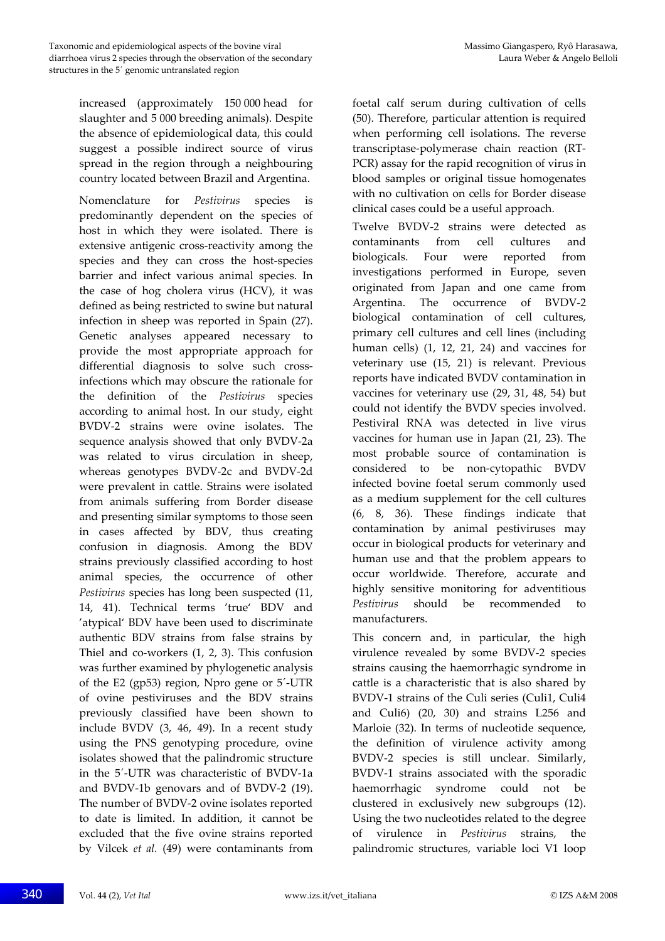increased (approximately 150 000 head for slaughter and 5 000 breeding animals). Despite the absence of epidemiological data, this could suggest a possible indirect source of virus spread in the region through a neighbouring country located between Brazil and Argentina.

Nomenclature for *Pestivirus* species predominantly dependent on the species of host in which they were isolated. There is extensive antigenic cross‐reactivity among the species and they can cross the host-species barrier and infect various animal species. In the case of hog cholera virus (HCV), it was defined as being restricted to swine but natural infection in sheep was reported in Spain (27). Genetic analyses appeared necessary to provide the most appropriate approach for differential diagnosis to solve such crossinfections which may obscure the rationale for the definition of the *Pestivirus* species according to animal host. In our study, eight BVDV‐2 strains were ovine isolates. The sequence analysis showed that only BVDV‐2a was related to virus circulation in sheep, whereas genotypes BVDV‐2c and BVDV‐2d were prevalent in cattle. Strains were isolated from animals suffering from Border disease and presenting similar symptoms to those seen in cases affected by BDV, thus creating confusion in diagnosis. Among the BDV strains previously classified according to host animal species, the occurrence of other *Pestivirus* species has long been suspected (11, 14, 41). Technical terms 'true' BDV and 'atypical' BDV have been used to discriminate authentic BDV strains from false strains by Thiel and co-workers  $(1, 2, 3)$ . This confusion was further examined by phylogenetic analysis of the E2 (gp53) region, Npro gene or 5´‐UTR of ovine pestiviruses and the BDV strains previously classified have been shown to include BVDV (3, 46, 49). In a recent study using the PNS genotyping procedure, ovine isolates showed that the palindromic structure in the 5´‐UTR was characteristic of BVDV‐1a and BVDV‐1b genovars and of BVDV‐2 (19). The number of BVDV‐2 ovine isolates reported to date is limited. In addition, it cannot be excluded that the five ovine strains reported by Vilcek *et al.* (49) were contaminants from foetal calf serum during cultivation of cells (50). Therefore, particular attention is required when performing cell isolations. The reverse transcriptase‐polymerase chain reaction (RT‐ PCR) assay for the rapid recognition of virus in blood samples or original tissue homogenates with no cultivation on cells for Border disease clinical cases could be a useful approach.

Twelve BVDV‐2 strains were detected as contaminants from cell cultures and biologicals. Four were reported from investigations performed in Europe, seven originated from Japan and one came from Argentina. The occurrence of BVDV‐2 biological contamination of cell cultures, primary cell cultures and cell lines (including human cells) (1, 12, 21, 24) and vaccines for veterinary use (15, 21) is relevant. Previous reports have indicated BVDV contamination in vaccines for veterinary use (29, 31, 48, 54) but could not identify the BVDV species involved. Pestiviral RNA was detected in live virus vaccines for human use in Japan (21, 23). The most probable source of contamination is considered to be non‐cytopathic BVDV infected bovine foetal serum commonly used as a medium supplement for the cell cultures (6, 8, 36). These findings indicate that contamination by animal pestiviruses may occur in biological products for veterinary and human use and that the problem appears to occur worldwide. Therefore, accurate and highly sensitive monitoring for adventitious *Pestivirus* should be recommended to manufacturers.

This concern and, in particular, the high virulence revealed by some BVDV‐2 species strains causing the haemorrhagic syndrome in cattle is a characteristic that is also shared by BVDV‐1 strains of the Culi series (Culi1, Culi4 and Culi6) (20, 30) and strains L256 and Marloie (32). In terms of nucleotide sequence, the definition of virulence activity among BVDV‐2 species is still unclear. Similarly, BVDV‐1 strains associated with the sporadic haemorrhagic syndrome could not be clustered in exclusively new subgroups (12). Using the two nucleotides related to the degree of virulence in *Pestivirus* strains, the palindromic structures, variable loci V1 loop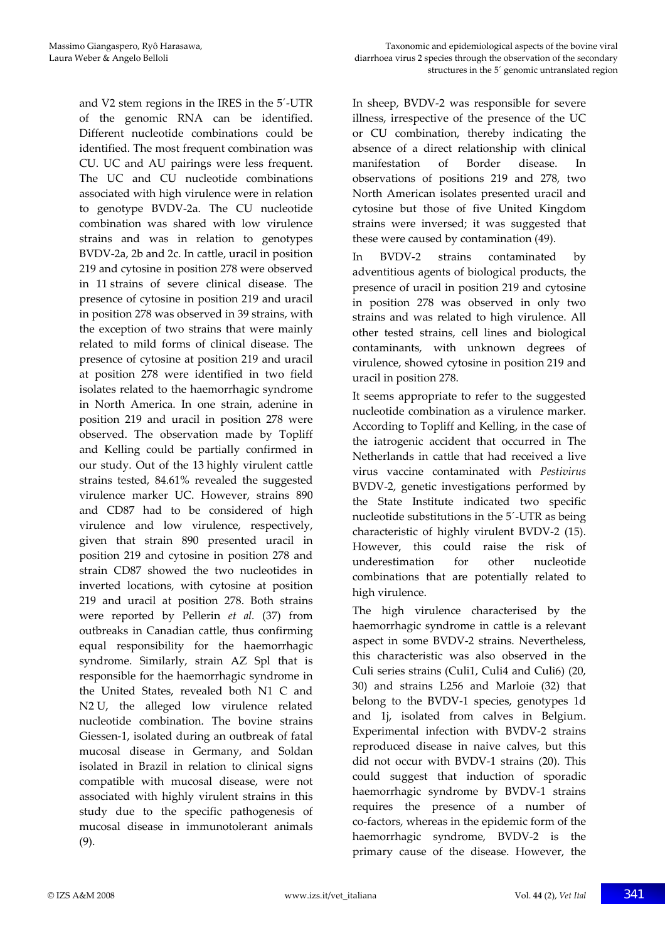and V2 stem regions in the IRES in the 5´‐UTR of the genomic RNA can be identified. Different nucleotide combinations could be identified. The most frequent combination was CU. UC and AU pairings were less frequent. The UC and CU nucleotide combinations associated with high virulence were in relation to genotype BVDV‐2a. The CU nucleotide combination was shared with low virulence strains and was in relation to genotypes BVDV‐2a, 2b and 2c. In cattle, uracil in position 219 and cytosine in position 278 were observed in 11 strains of severe clinical disease. The presence of cytosine in position 219 and uracil in position 278 was observed in 39 strains, with the exception of two strains that were mainly related to mild forms of clinical disease. The presence of cytosine at position 219 and uracil at position 278 were identified in two field isolates related to the haemorrhagic syndrome in North America. In one strain, adenine in position 219 and uracil in position 278 were observed. The observation made by Topliff and Kelling could be partially confirmed in our study. Out of the 13 highly virulent cattle strains tested, 84.61% revealed the suggested virulence marker UC. However, strains 890 and CD87 had to be considered of high virulence and low virulence, respectively, given that strain 890 presented uracil in position 219 and cytosine in position 278 and strain CD87 showed the two nucleotides in inverted locations, with cytosine at position 219 and uracil at position 278. Both strains were reported by Pellerin *et al.* (37) from outbreaks in Canadian cattle, thus confirming equal responsibility for the haemorrhagic syndrome. Similarly, strain AZ Spl that is responsible for the haemorrhagic syndrome in the United States, revealed both N1 C and N2 U, the alleged low virulence related nucleotide combination. The bovine strains Giessen‐1, isolated during an outbreak of fatal mucosal disease in Germany, and Soldan isolated in Brazil in relation to clinical signs compatible with mucosal disease, were not associated with highly virulent strains in this study due to the specific pathogenesis of mucosal disease in immunotolerant animals (9).

In sheep, BVDV‐2 was responsible for severe illness, irrespective of the presence of the UC or CU combination, thereby indicating the absence of a direct relationship with clinical manifestation of Border disease. In observations of positions 219 and 278, two North American isolates presented uracil and cytosine but those of five United Kingdom strains were inversed; it was suggested that these were caused by contamination (49).

In BVDV‐2 strains contaminated by adventitious agents of biological products, the presence of uracil in position 219 and cytosine in position 278 was observed in only two strains and was related to high virulence. All other tested strains, cell lines and biological contaminants, with unknown degrees of virulence, showed cytosine in position 219 and uracil in position 278.

It seems appropriate to refer to the suggested nucleotide combination as a virulence marker. According to Topliff and Kelling, in the case of the iatrogenic accident that occurred in The Netherlands in cattle that had received a live virus vaccine contaminated with *Pestivirus* BVDV‐2, genetic investigations performed by the State Institute indicated two specific nucleotide substitutions in the 5´‐UTR as being characteristic of highly virulent BVDV‐2 (15). However, this could raise the risk of underestimation for other nucleotide combinations that are potentially related to high virulence.

The high virulence characterised by the haemorrhagic syndrome in cattle is a relevant aspect in some BVDV‐2 strains. Nevertheless, this characteristic was also observed in the Culi series strains (Culi1, Culi4 and Culi6) (20, 30) and strains L256 and Marloie (32) that belong to the BVDV‐1 species, genotypes 1d and 1j, isolated from calves in Belgium. Experimental infection with BVDV‐2 strains reproduced disease in naive calves, but this did not occur with BVDV‐1 strains (20). This could suggest that induction of sporadic haemorrhagic syndrome by BVDV‐1 strains requires the presence of a number of co‐factors, whereas in the epidemic form of the haemorrhagic syndrome, BVDV‐2 is the primary cause of the disease. However, the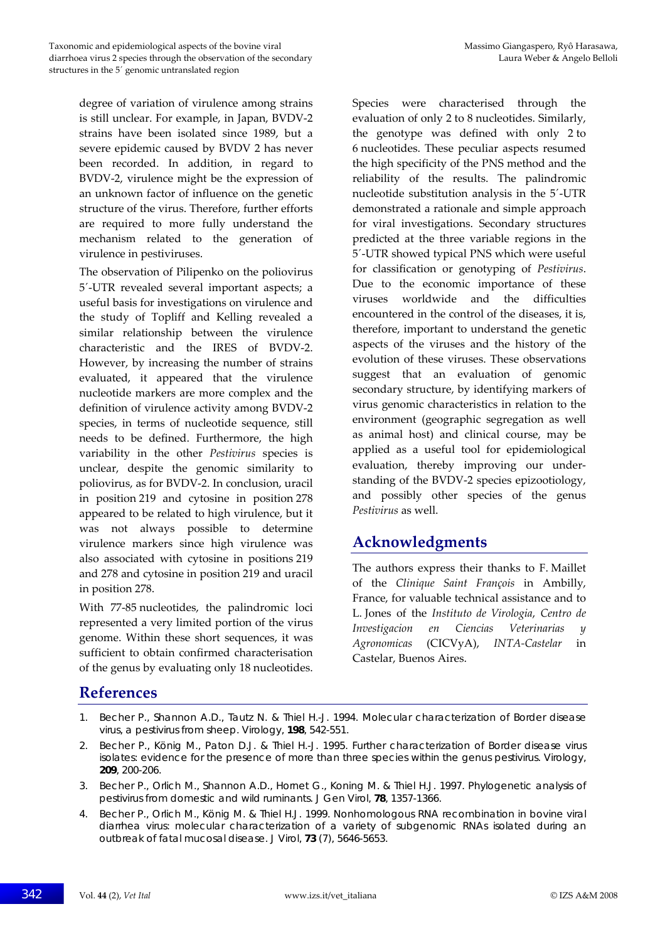degree of variation of virulence among strains is still unclear. For example, in Japan, BVDV‐2 strains have been isolated since 1989, but a severe epidemic caused by BVDV 2 has never been recorded. In addition, in regard to BVDV‐2, virulence might be the expression of an unknown factor of influence on the genetic structure of the virus. Therefore, further efforts are required to more fully understand the mechanism related to the generation of virulence in pestiviruses.

The observation of Pilipenko on the poliovirus 5´‐UTR revealed several important aspects; a useful basis for investigations on virulence and the study of Topliff and Kelling revealed a similar relationship between the virulence characteristic and the IRES of BVDV‐2. However, by increasing the number of strains evaluated, it appeared that the virulence nucleotide markers are more complex and the definition of virulence activity among BVDV‐2 species, in terms of nucleotide sequence, still needs to be defined. Furthermore, the high variability in the other *Pestivirus* species is unclear, despite the genomic similarity to poliovirus, as for BVDV‐2. In conclusion, uracil in position 219 and cytosine in position 278 appeared to be related to high virulence, but it was not always possible to determine virulence markers since high virulence was also associated with cytosine in positions 219 and 278 and cytosine in position 219 and uracil in position 278.

With 77‐85 nucleotides, the palindromic loci represented a very limited portion of the virus genome. Within these short sequences, it was sufficient to obtain confirmed characterisation of the genus by evaluating only 18 nucleotides.

Species were characterised through the evaluation of only 2 to 8 nucleotides. Similarly, the genotype was defined with only 2 to 6 nucleotides. These peculiar aspects resumed the high specificity of the PNS method and the reliability of the results. The palindromic nucleotide substitution analysis in the 5´‐UTR demonstrated a rationale and simple approach for viral investigations. Secondary structures predicted at the three variable regions in the 5´‐UTR showed typical PNS which were useful for classification or genotyping of *Pestivirus*. Due to the economic importance of these viruses worldwide and the difficulties encountered in the control of the diseases, it is, therefore, important to understand the genetic aspects of the viruses and the history of the evolution of these viruses. These observations suggest that an evaluation of genomic secondary structure, by identifying markers of virus genomic characteristics in relation to the environment (geographic segregation as well as animal host) and clinical course, may be applied as a useful tool for epidemiological evaluation, thereby improving our under‐ standing of the BVDV‐2 species epizootiology, and possibly other species of the genus *Pestivirus* as well.

## **Acknowledgments**

The authors express their thanks to F. Maillet of the *Clinique Saint François* in Ambilly, France, for valuable technical assistance and to L. Jones of the *Instituto de Virologia*, *Centro de Investigacion en Ciencias Veterinarias y Agronomicas* (CICVyA), *INTA‐Castelar* in Castelar, Buenos Aires.

## **References**

- 1. Becher P., Shannon A.D., Tautz N. & Thiel H.-J. 1994. Molecular characterization of Border disease virus, a pestivirus from sheep. *Virology*, **198**, 542-551.
- 2. Becher P., König M., Paton D.J. & Thiel H.-J. 1995. Further characterization of Border disease virus isolates: evidence for the presence of more than three species within the genus pestivirus. *Virology*, **209**, 200-206.
- 3. Becher P., Orlich M., Shannon A.D., Hornet G., Koning M. & Thiel H.J. 1997. Phylogenetic analysis of pestivirus from domestic and wild ruminants. *J Gen Virol*, **78**, 1357-1366.
- 4. Becher P., Orlich M., König M. & Thiel H.J. 1999. Nonhomologous RNA recombination in bovine viral diarrhea virus: molecular characterization of a variety of subgenomic RNAs isolated during an outbreak of fatal mucosal disease. *J Virol*, **73** (7), 5646-5653.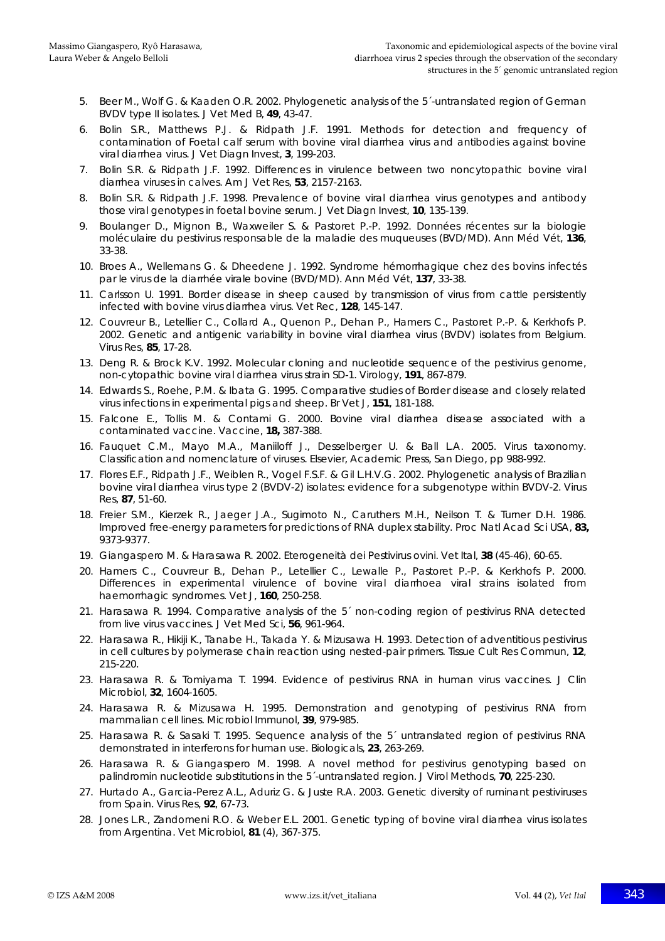- 5. Beer M., Wolf G. & Kaaden O.R. 2002. Phylogenetic analysis of the 5´-untranslated region of German BVDV type II isolates. *J Vet Med B*, **49**, 43-47.
- 6. Bolin S.R., Matthews P.J. & Ridpath J.F. 1991. Methods for detection and frequency of contamination of Foetal calf serum with bovine viral diarrhea virus and antibodies against bovine viral diarrhea virus. *J Vet Diagn Invest*, **3**, 199-203.
- 7. Bolin S.R. & Ridpath J.F. 1992. Differences in virulence between two noncytopathic bovine viral diarrhea viruses in calves. *Am J Vet Res*, **53**, 2157-2163.
- 8. Bolin S.R. & Ridpath J.F. 1998. Prevalence of bovine viral diarrhea virus genotypes and antibody those viral genotypes in foetal bovine serum. *J Vet Diagn Invest*, **10**, 135-139.
- 9. Boulanger D., Mignon B., Waxweiler S. & Pastoret P.-P. 1992. Données récentes sur la biologie moléculaire du pestivirus responsable de la maladie des muqueuses (BVD/MD). *Ann Méd Vét*, **136**, 33-38.
- 10. Broes A., Wellemans G. & Dheedene J. 1992. Syndrome hémorrhagique chez des bovins infectés par le virus de la diarrhée virale bovine (BVD/MD). *Ann Méd Vét*, **137**, 33-38.
- 11. Carlsson U. 1991. Border disease in sheep caused by transmission of virus from cattle persistently infected with bovine virus diarrhea virus. *Vet Rec*, **128**, 145-147.
- 12. Couvreur B., Letellier C., Collard A., Quenon P., Dehan P., Hamers C., Pastoret P.-P. & Kerkhofs P. 2002. Genetic and antigenic variability in bovine viral diarrhea virus (BVDV) isolates from Belgium. *Virus Res*, **85**, 17-28.
- 13. Deng R. & Brock K.V. 1992. Molecular cloning and nucleotide sequence of the pestivirus genome, non-cytopathic bovine viral diarrhea virus strain SD-1. *Virology*, **191**, 867-879.
- 14. Edwards S., Roehe, P.M. & Ibata G. 1995. Comparative studies of Border disease and closely related virus infections in experimental pigs and sheep. *Br Vet J*, **151**, 181-188.
- 15. Falcone E., Tollis M. & Contami G. 2000. Bovine viral diarrhea disease associated with a contaminated vaccine. *Vaccine*, **18,** 387-388.
- 16. Fauquet C.M., Mayo M.A., Maniiloff J., Desselberger U. & Ball L.A. 2005. Virus taxonomy. Classification and nomenclature of viruses. Elsevier, Academic Press, San Diego, pp 988-992.
- 17. Flores E.F., Ridpath J.F., Weiblen R., Vogel F.S.F. & Gil L.H.V.G. 2002. Phylogenetic analysis of Brazilian bovine viral diarrhea virus type 2 (BVDV-2) isolates: evidence for a subgenotype within BVDV-2. *Virus Res*, **87**, 51-60.
- 18. Freier S.M., Kierzek R., Jaeger J.A., Sugimoto N., Caruthers M.H., Neilson T. & Turner D.H. 1986. Improved free-energy parameters for predictions of RNA duplex stability. *Proc Natl Acad Sci USA*, **83,** 9373-9377.
- 19. Giangaspero M. & Harasawa R. 2002. Eterogeneità dei Pestivirus ovini. *Vet Ital*, **38** (45-46), 60-65.
- 20. Hamers C., Couvreur B., Dehan P., Letellier C., Lewalle P., Pastoret P.-P. & Kerkhofs P. 2000. Differences in experimental virulence of bovine viral diarrhoea viral strains isolated from haemorrhagic syndromes. *Vet J*, **160**, 250-258.
- 21. Harasawa R. 1994. Comparative analysis of the 5´ non-coding region of pestivirus RNA detected from live virus vaccines. *J Vet Med Sci*, **56**, 961-964.
- 22. Harasawa R., Hikiji K., Tanabe H., Takada Y. & Mizusawa H. 1993. Detection of adventitious pestivirus in cell cultures by polymerase chain reaction using nested-pair primers. *Tissue Cult Res Commun*, **12**, 215-220.
- 23. Harasawa R. & Tomiyama T. 1994. Evidence of pestivirus RNA in human virus vaccines. *J Clin Microbiol*, **32**, 1604-1605.
- 24. Harasawa R. & Mizusawa H. 1995. Demonstration and genotyping of pestivirus RNA from mammalian cell lines. *Microbiol Immunol*, **39**, 979-985.
- 25. Harasawa R. & Sasaki T. 1995. Sequence analysis of the 5´ untranslated region of pestivirus RNA demonstrated in interferons for human use. *Biologicals*, **23**, 263-269.
- 26. Harasawa R. & Giangaspero M. 1998. A novel method for pestivirus genotyping based on palindromin nucleotide substitutions in the 5´-untranslated region. *J Virol Methods*, **70**, 225-230.
- 27. Hurtado A., Garcia-Perez A.L., Aduriz G. & Juste R.A. 2003. Genetic diversity of ruminant pestiviruses from Spain. *Virus Res*, **92**, 67-73.
- 28. Jones L.R., Zandomeni R.O. & Weber E.L. 2001. Genetic typing of bovine viral diarrhea virus isolates from Argentina. *Vet Microbiol*, **81** (4), 367-375.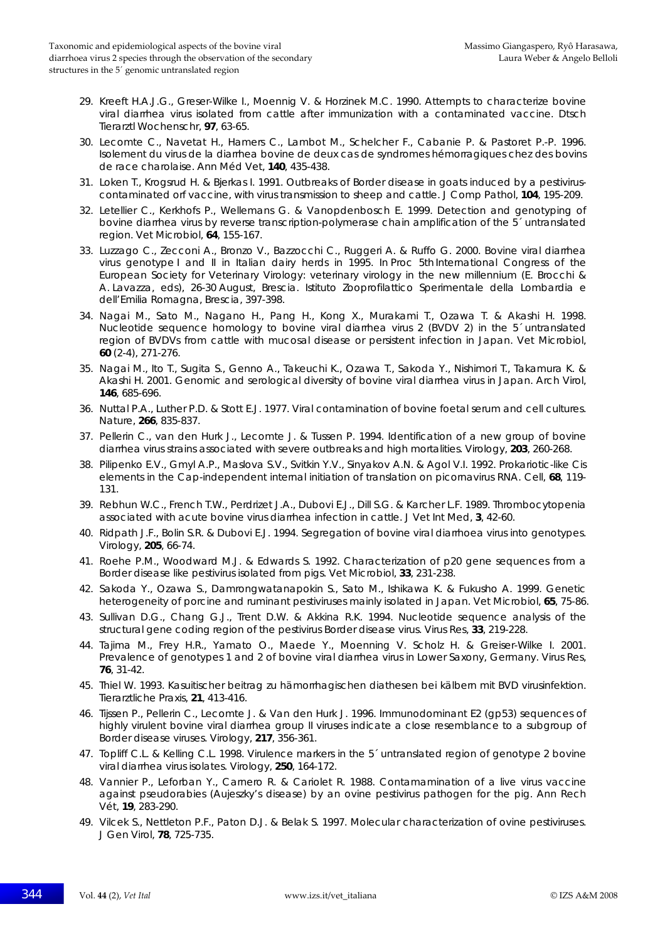- 29. Kreeft H.A.J.G., Greser-Wilke I., Moennig V. & Horzinek M.C. 1990. Attempts to characterize bovine viral diarrhea virus isolated from cattle after immunization with a contaminated vaccine. *Dtsch Tierarztl Wochenschr*, **97**, 63-65.
- 30. Lecomte C., Navetat H., Hamers C., Lambot M., Schelcher F., Cabanie P. & Pastoret P.-P. 1996. Isolement du virus de la diarrhea bovine de deux cas de syndromes hémorragiques chez des bovins de race charolaise. *Ann Méd Vet*, **140**, 435-438.
- 31. Loken T., Krogsrud H. & Bjerkas I. 1991. Outbreaks of Border disease in goats induced by a pestiviruscontaminated orf vaccine, with virus transmission to sheep and cattle. *J Comp Pathol*, **104**, 195-209.
- 32. Letellier C., Kerkhofs P., Wellemans G. & Vanopdenbosch E. 1999. Detection and genotyping of bovine diarrhea virus by reverse transcription-polymerase chain amplification of the 5´ untranslated region. *Vet Microbiol*, **64**, 155-167.
- 33. Luzzago C., Zecconi A., Bronzo V., Bazzocchi C., Ruggeri A. & Ruffo G. 2000. Bovine viral diarrhea virus genotype I and II in Italian dairy herds in 1995. *In* Proc 5th International Congress of the European Society for Veterinary Virology: veterinary virology in the new millennium (E. Brocchi & A. Lavazza, eds), 26-30 August, Brescia. Istituto Zooprofilattico Sperimentale della Lombardia e dell'Emilia Romagna, Brescia, 397-398.
- 34. Nagai M., Sato M., Nagano H., Pang H., Kong X., Murakami T., Ozawa T. & Akashi H. 1998. Nucleotide sequence homology to bovine viral diarrhea virus 2 (BVDV 2) in the 5´ untranslated region of BVDVs from cattle with mucosal disease or persistent infection in Japan. *Vet Microbiol*, **60** (2-4), 271-276.
- 35. Nagai M., Ito T., Sugita S., Genno A., Takeuchi K., Ozawa T., Sakoda Y., Nishimori T., Takamura K. & Akashi H. 2001. Genomic and serological diversity of bovine viral diarrhea virus in Japan. *Arch Virol*, **146**, 685-696.
- 36. Nuttal P.A., Luther P.D. & Stott E.J. 1977. Viral contamination of bovine foetal serum and cell cultures. *Nature*, **266**, 835-837.
- 37. Pellerin C., van den Hurk J., Lecomte J. & Tussen P. 1994. Identification of a new group of bovine diarrhea virus strains associated with severe outbreaks and high mortalities. *Virology*, **203**, 260-268.
- 38. Pilipenko E.V., Gmyl A.P., Maslova S.V., Svitkin Y.V., Sinyakov A.N. & Agol V.I. 1992. Prokariotic-like Cis elements in the Cap-independent internal initiation of translation on picornavirus RNA. *Cell*, **68**, 119- 131.
- 39. Rebhun W.C., French T.W., Perdrizet J.A., Dubovi E.J., Dill S.G. & Karcher L.F. 1989. Thrombocytopenia associated with acute bovine virus diarrhea infection in cattle. *J Vet Int Med*, **3**, 42-60.
- 40. Ridpath J.F., Bolin S.R. & Dubovi E.J. 1994. Segregation of bovine viral diarrhoea virus into genotypes. *Virology*, **205**, 66-74.
- 41. Roehe P.M., Woodward M.J. & Edwards S. 1992. Characterization of p20 gene sequences from a Border disease like pestivirus isolated from pigs. *Vet Microbiol*, **33**, 231-238.
- 42. Sakoda Y., Ozawa S., Damrongwatanapokin S., Sato M., Ishikawa K. & Fukusho A. 1999. Genetic heterogeneity of porcine and ruminant pestiviruses mainly isolated in Japan. *Vet Microbiol*, **65**, 75-86.
- 43. Sullivan D.G., Chang G.J., Trent D.W. & Akkina R.K. 1994. Nucleotide sequence analysis of the structural gene coding region of the pestivirus Border disease virus. *Virus Res*, **33**, 219-228.
- 44. Tajima M., Frey H.R., Yamato O., Maede Y., Moenning V. Scholz H. & Greiser-Wilke I. 2001. Prevalence of genotypes 1 and 2 of bovine viral diarrhea virus in Lower Saxony, Germany. *Virus Res*, **76**, 31-42.
- 45. Thiel W. 1993. Kasuitischer beitrag zu hämorrhagischen diathesen bei kälbern mit BVD virusinfektion. *Tierarztliche Praxis*, **21**, 413-416.
- 46. Tijssen P., Pellerin C., Lecomte J. & Van den Hurk J. 1996. Immunodominant E2 (gp53) sequences of highly virulent bovine viral diarrhea group II viruses indicate a close resemblance to a subgroup of Border disease viruses. *Virology*, **217**, 356-361.
- 47. Topliff C.L. & Kelling C.L. 1998. Virulence markers in the 5´ untranslated region of genotype 2 bovine viral diarrhea virus isolates. *Virology*, **250**, 164-172.
- 48. Vannier P., Leforban Y., Carnero R. & Cariolet R. 1988. Contamamination of a live virus vaccine against pseudorabies (Aujeszky's disease) by an ovine pestivirus pathogen for the pig. *Ann Rech Vét*, **19**, 283-290.
- 49. Vilcek S., Nettleton P.F., Paton D.J. & Belak S. 1997. Molecular characterization of ovine pestiviruses. *J Gen Virol*, **78**, 725-735.